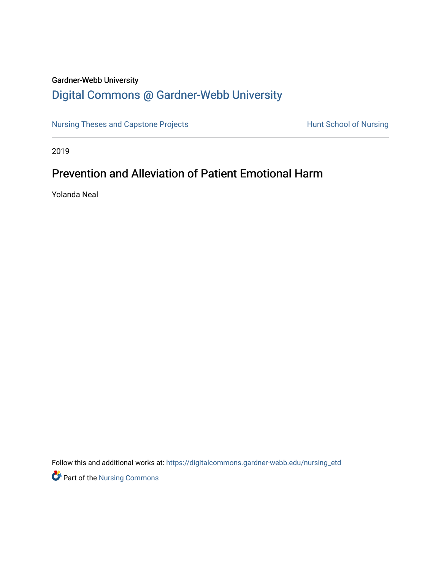# Gardner-Webb University

# [Digital Commons @ Gardner-Webb University](https://digitalcommons.gardner-webb.edu/)

[Nursing Theses and Capstone Projects](https://digitalcommons.gardner-webb.edu/nursing_etd) **Hunt School of Nursing** 

2019

# Prevention and Alleviation of Patient Emotional Harm

Yolanda Neal

Follow this and additional works at: [https://digitalcommons.gardner-webb.edu/nursing\\_etd](https://digitalcommons.gardner-webb.edu/nursing_etd?utm_source=digitalcommons.gardner-webb.edu%2Fnursing_etd%2F343&utm_medium=PDF&utm_campaign=PDFCoverPages) 

**P** Part of the Nursing Commons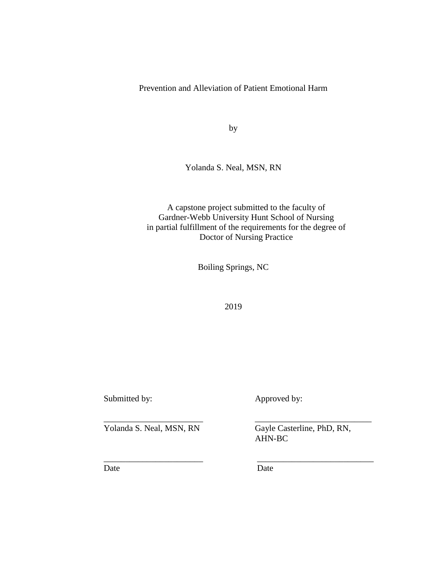Prevention and Alleviation of Patient Emotional Harm

by

Yolanda S. Neal, MSN, RN

A capstone project submitted to the faculty of Gardner-Webb University Hunt School of Nursing in partial fulfillment of the requirements for the degree of Doctor of Nursing Practice

Boiling Springs, NC

2019

\_\_\_\_\_\_\_\_\_\_\_\_\_\_\_\_\_\_\_\_\_\_\_ \_\_\_\_\_\_\_\_\_\_\_\_\_\_\_\_\_\_\_\_\_\_\_\_\_\_\_

\_\_\_\_\_\_\_\_\_\_\_\_\_\_\_\_\_\_\_\_\_\_\_ \_\_\_\_\_\_\_\_\_\_\_\_\_\_\_\_\_\_\_\_\_\_\_\_\_\_\_

Submitted by: Approved by:

Yolanda S. Neal, MSN, RN Gayle Casterline, PhD, RN,

AHN-BC

Date Date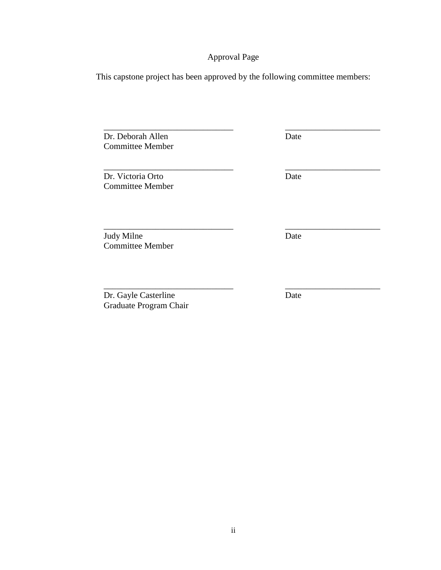# Approval Page

This capstone project has been approved by the following committee members:

\_\_\_\_\_\_\_\_\_\_\_\_\_\_\_\_\_\_\_\_\_\_\_\_\_\_\_\_\_\_ \_\_\_\_\_\_\_\_\_\_\_\_\_\_\_\_\_\_\_\_\_\_

\_\_\_\_\_\_\_\_\_\_\_\_\_\_\_\_\_\_\_\_\_\_\_\_\_\_\_\_\_\_ \_\_\_\_\_\_\_\_\_\_\_\_\_\_\_\_\_\_\_\_\_\_

\_\_\_\_\_\_\_\_\_\_\_\_\_\_\_\_\_\_\_\_\_\_\_\_\_\_\_\_\_\_ \_\_\_\_\_\_\_\_\_\_\_\_\_\_\_\_\_\_\_\_\_\_

Dr. Deborah Allen Date Committee Member

Dr. Victoria Orto Date Committee Member

Judy Milne Date Committee Member

Dr. Gayle Casterline Date Graduate Program Chair

\_\_\_\_\_\_\_\_\_\_\_\_\_\_\_\_\_\_\_\_\_\_\_\_\_\_\_\_\_\_ \_\_\_\_\_\_\_\_\_\_\_\_\_\_\_\_\_\_\_\_\_\_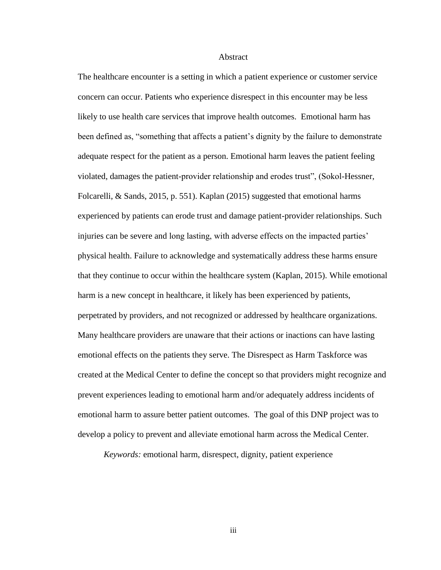### **Abstract**

The healthcare encounter is a setting in which a patient experience or customer service concern can occur. Patients who experience disrespect in this encounter may be less likely to use health care services that improve health outcomes. Emotional harm has been defined as, "something that affects a patient's dignity by the failure to demonstrate adequate respect for the patient as a person. Emotional harm leaves the patient feeling violated, damages the patient-provider relationship and erodes trust", (Sokol-Hessner, Folcarelli, & Sands, 2015, p. 551). Kaplan (2015) suggested that emotional harms experienced by patients can erode trust and damage patient-provider relationships. Such injuries can be severe and long lasting, with adverse effects on the impacted parties' physical health. Failure to acknowledge and systematically address these harms ensure that they continue to occur within the healthcare system (Kaplan, 2015). While emotional harm is a new concept in healthcare, it likely has been experienced by patients, perpetrated by providers, and not recognized or addressed by healthcare organizations. Many healthcare providers are unaware that their actions or inactions can have lasting emotional effects on the patients they serve. The Disrespect as Harm Taskforce was created at the Medical Center to define the concept so that providers might recognize and prevent experiences leading to emotional harm and/or adequately address incidents of emotional harm to assure better patient outcomes. The goal of this DNP project was to develop a policy to prevent and alleviate emotional harm across the Medical Center.

*Keywords:* emotional harm, disrespect, dignity, patient experience

iii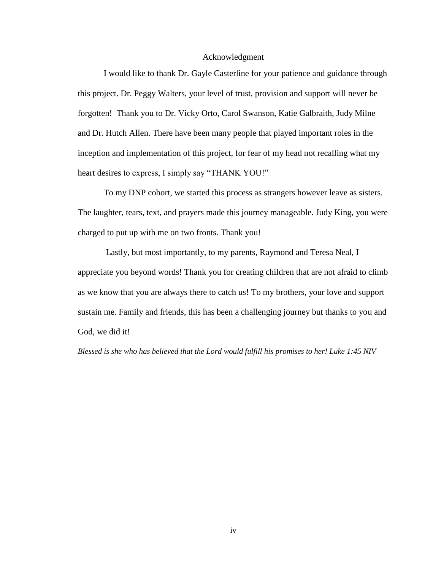# Acknowledgment

I would like to thank Dr. Gayle Casterline for your patience and guidance through this project. Dr. Peggy Walters, your level of trust, provision and support will never be forgotten! Thank you to Dr. Vicky Orto, Carol Swanson, Katie Galbraith, Judy Milne and Dr. Hutch Allen. There have been many people that played important roles in the inception and implementation of this project, for fear of my head not recalling what my heart desires to express, I simply say "THANK YOU!"

To my DNP cohort, we started this process as strangers however leave as sisters. The laughter, tears, text, and prayers made this journey manageable. Judy King, you were charged to put up with me on two fronts. Thank you!

Lastly, but most importantly, to my parents, Raymond and Teresa Neal, I appreciate you beyond words! Thank you for creating children that are not afraid to climb as we know that you are always there to catch us! To my brothers, your love and support sustain me. Family and friends, this has been a challenging journey but thanks to you and God, we did it!

*Blessed is she who has believed that the Lord would fulfill his promises to her! Luke 1:45 NIV*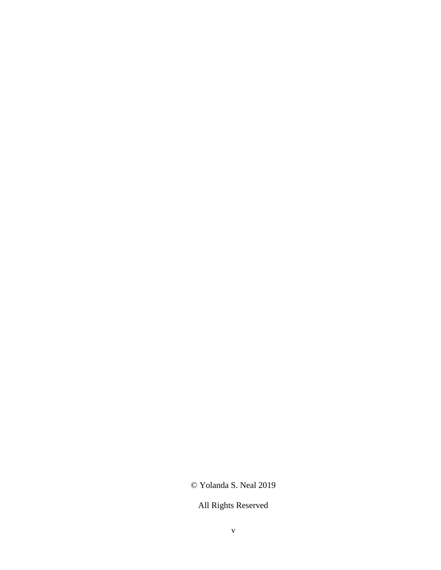# © Yolanda S. Neal 2019

All Rights Reserved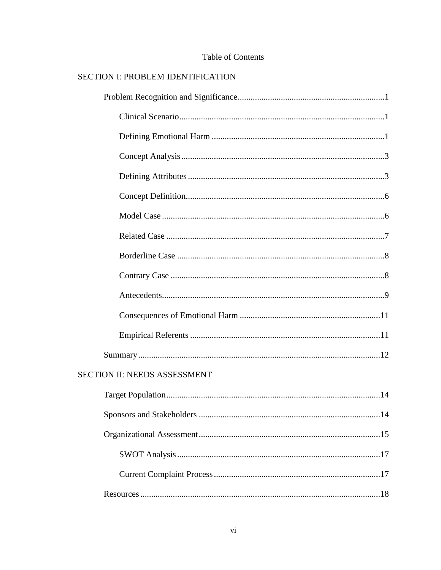| <b>SECTION I: PROBLEM IDENTIFICATION</b> |  |
|------------------------------------------|--|
|                                          |  |
|                                          |  |
|                                          |  |
|                                          |  |
|                                          |  |
|                                          |  |
|                                          |  |
|                                          |  |
|                                          |  |
|                                          |  |
|                                          |  |
|                                          |  |
|                                          |  |
|                                          |  |
| <b>SECTION II: NEEDS ASSESSMENT</b>      |  |
|                                          |  |
|                                          |  |
|                                          |  |
|                                          |  |
|                                          |  |
|                                          |  |

# Table of Contents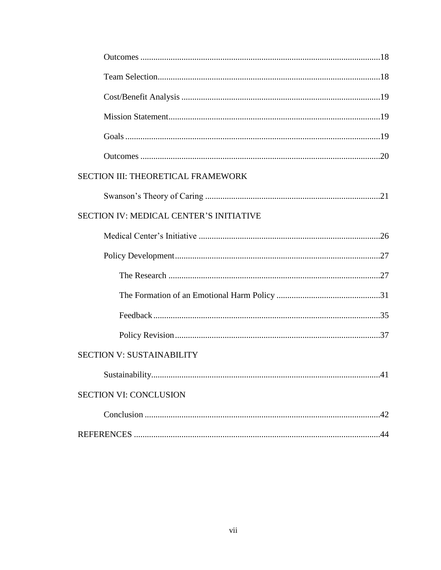| SECTION III: THEORETICAL FRAMEWORK      |
|-----------------------------------------|
|                                         |
| SECTION IV: MEDICAL CENTER'S INITIATIVE |
|                                         |
|                                         |
|                                         |
|                                         |
|                                         |
|                                         |
| <b>SECTION V: SUSTAINABILITY</b>        |
|                                         |
| <b>SECTION VI: CONCLUSION</b>           |
|                                         |
|                                         |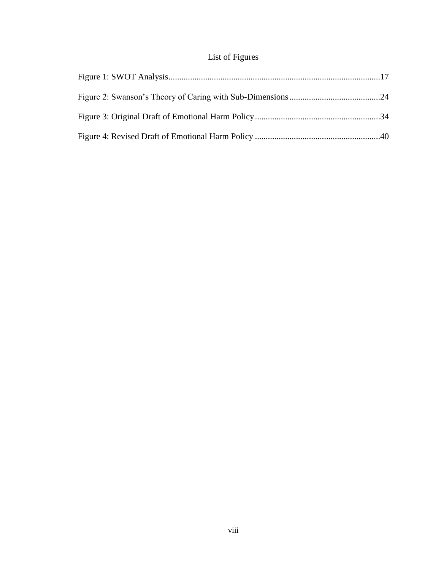# List of Figures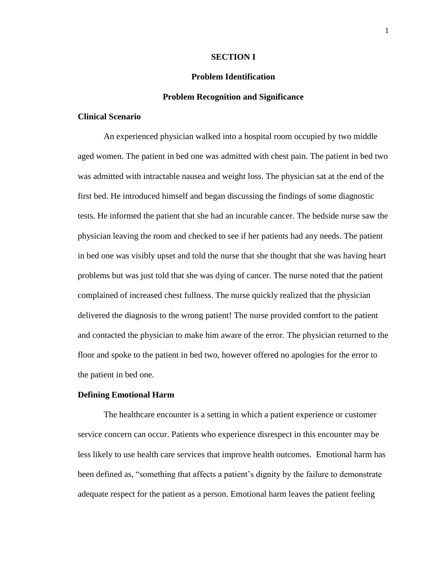### **SECTION I**

# **Problem Identification**

#### **Problem Recognition and Significance**

# **Clinical Scenario**

An experienced physician walked into a hospital room occupied by two middle aged women. The patient in bed one was admitted with chest pain. The patient in bed two was admitted with intractable nausea and weight loss. The physician sat at the end of the first bed. He introduced himself and began discussing the findings of some diagnostic tests. He informed the patient that she had an incurable cancer. The bedside nurse saw the physician leaving the room and checked to see if her patients had any needs. The patient in bed one was visibly upset and told the nurse that she thought that she was having heart problems but was just told that she was dying of cancer. The nurse noted that the patient complained of increased chest fullness. The nurse quickly realized that the physician delivered the diagnosis to the wrong patient! The nurse provided comfort to the patient and contacted the physician to make him aware of the error. The physician returned to the floor and spoke to the patient in bed two, however offered no apologies for the error to the patient in bed one.

#### **Defining Emotional Harm**

The healthcare encounter is a setting in which a patient experience or customer service concern can occur. Patients who experience disrespect in this encounter may be less likely to use health care services that improve health outcomes. Emotional harm has been defined as, "something that affects a patient's dignity by the failure to demonstrate adequate respect for the patient as a person. Emotional harm leaves the patient feeling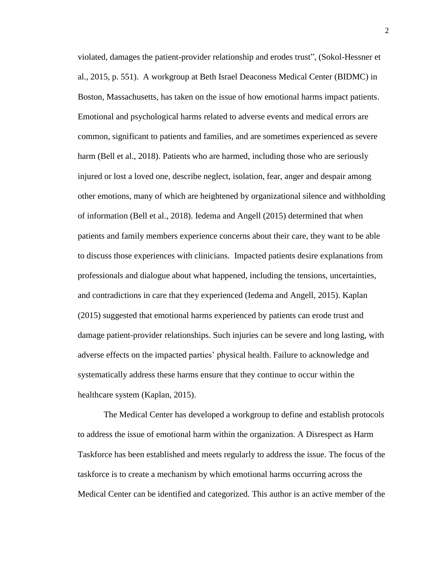violated, damages the patient-provider relationship and erodes trust", (Sokol-Hessner et al., 2015, p. 551). A workgroup at Beth Israel Deaconess Medical Center (BIDMC) in Boston, Massachusetts, has taken on the issue of how emotional harms impact patients. Emotional and psychological harms related to adverse events and medical errors are common, significant to patients and families, and are sometimes experienced as severe harm (Bell et al., 2018). Patients who are harmed, including those who are seriously injured or lost a loved one, describe neglect, isolation, fear, anger and despair among other emotions, many of which are heightened by organizational silence and withholding of information (Bell et al., 2018). Iedema and Angell (2015) determined that when patients and family members experience concerns about their care, they want to be able to discuss those experiences with clinicians. Impacted patients desire explanations from professionals and dialogue about what happened, including the tensions, uncertainties, and contradictions in care that they experienced (Iedema and Angell, 2015). Kaplan (2015) suggested that emotional harms experienced by patients can erode trust and damage patient-provider relationships. Such injuries can be severe and long lasting, with adverse effects on the impacted parties' physical health. Failure to acknowledge and systematically address these harms ensure that they continue to occur within the healthcare system (Kaplan, 2015).

The Medical Center has developed a workgroup to define and establish protocols to address the issue of emotional harm within the organization. A Disrespect as Harm Taskforce has been established and meets regularly to address the issue. The focus of the taskforce is to create a mechanism by which emotional harms occurring across the Medical Center can be identified and categorized. This author is an active member of the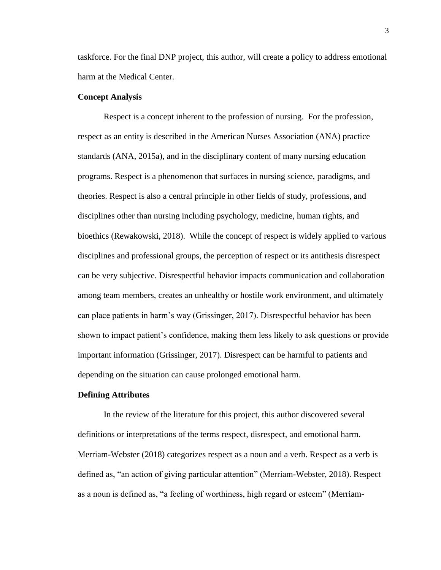taskforce. For the final DNP project, this author, will create a policy to address emotional harm at the Medical Center.

### **Concept Analysis**

Respect is a concept inherent to the profession of nursing. For the profession, respect as an entity is described in the American Nurses Association (ANA) practice standards (ANA, 2015a), and in the disciplinary content of many nursing education programs. Respect is a phenomenon that surfaces in nursing science, paradigms, and theories. Respect is also a central principle in other fields of study, professions, and disciplines other than nursing including psychology, medicine, human rights, and bioethics (Rewakowski, 2018). While the concept of respect is widely applied to various disciplines and professional groups, the perception of respect or its antithesis disrespect can be very subjective. Disrespectful behavior impacts communication and collaboration among team members, creates an unhealthy or hostile work environment, and ultimately can place patients in harm's way (Grissinger, 2017). Disrespectful behavior has been shown to impact patient's confidence, making them less likely to ask questions or provide important information (Grissinger, 2017). Disrespect can be harmful to patients and depending on the situation can cause prolonged emotional harm.

#### **Defining Attributes**

In the review of the literature for this project, this author discovered several definitions or interpretations of the terms respect, disrespect, and emotional harm. Merriam-Webster (2018) categorizes respect as a noun and a verb. Respect as a verb is defined as, "an action of giving particular attention" (Merriam-Webster, 2018). Respect as a noun is defined as, "a feeling of worthiness, high regard or esteem" (Merriam-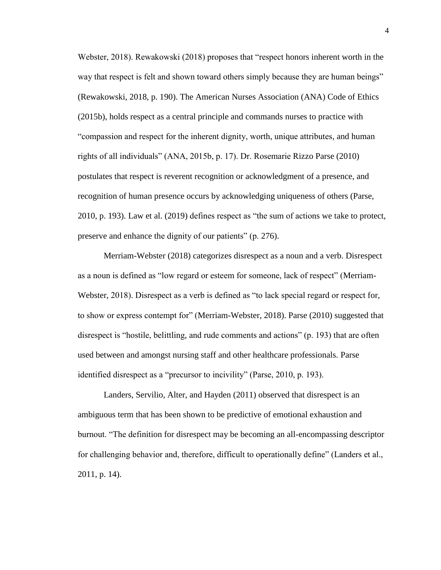Webster, 2018). Rewakowski (2018) proposes that "respect honors inherent worth in the way that respect is felt and shown toward others simply because they are human beings" (Rewakowski, 2018, p. 190). The American Nurses Association (ANA) Code of Ethics (2015b), holds respect as a central principle and commands nurses to practice with "compassion and respect for the inherent dignity, worth, unique attributes, and human rights of all individuals" (ANA, 2015b, p. 17). Dr. Rosemarie Rizzo Parse (2010) postulates that respect is reverent recognition or acknowledgment of a presence, and recognition of human presence occurs by acknowledging uniqueness of others (Parse, 2010, p. 193). Law et al. (2019) defines respect as "the sum of actions we take to protect, preserve and enhance the dignity of our patients" (p. 276).

Merriam-Webster (2018) categorizes disrespect as a noun and a verb. Disrespect as a noun is defined as "low regard or esteem for someone, lack of respect" (Merriam-Webster, 2018). Disrespect as a verb is defined as "to lack special regard or respect for, to show or express contempt for" (Merriam-Webster, 2018). Parse (2010) suggested that disrespect is "hostile, belittling, and rude comments and actions" (p. 193) that are often used between and amongst nursing staff and other healthcare professionals. Parse identified disrespect as a "precursor to incivility" (Parse, 2010, p. 193).

Landers, Servilio, Alter, and Hayden (2011) observed that disrespect is an ambiguous term that has been shown to be predictive of emotional exhaustion and burnout. "The definition for disrespect may be becoming an all-encompassing descriptor for challenging behavior and, therefore, difficult to operationally define" (Landers et al., 2011, p. 14).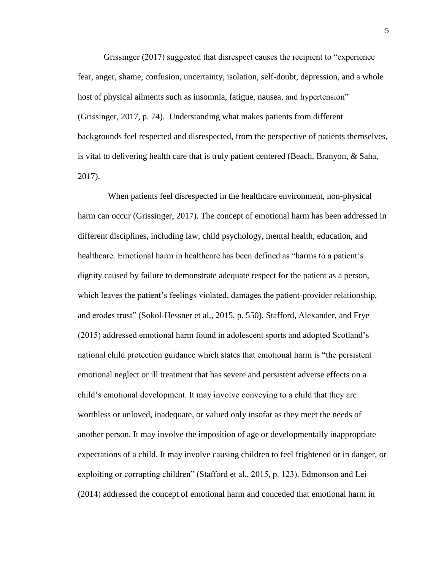Grissinger (2017) suggested that disrespect causes the recipient to "experience fear, anger, shame, confusion, uncertainty, isolation, self-doubt, depression, and a whole host of physical ailments such as insomnia, fatigue, nausea, and hypertension" (Grissinger, 2017, p. 74). Understanding what makes patients from different backgrounds feel respected and disrespected, from the perspective of patients themselves, is vital to delivering health care that is truly patient centered (Beach, Branyon, & Saha, 2017).

 When patients feel disrespected in the healthcare environment, non-physical harm can occur (Grissinger, 2017). The concept of emotional harm has been addressed in different disciplines, including law, child psychology, mental health, education, and healthcare. Emotional harm in healthcare has been defined as "harms to a patient's dignity caused by failure to demonstrate adequate respect for the patient as a person, which leaves the patient's feelings violated, damages the patient-provider relationship, and erodes trust" (Sokol-Hessner et al., 2015, p. 550). Stafford, Alexander, and Frye (2015) addressed emotional harm found in adolescent sports and adopted Scotland's national child protection guidance which states that emotional harm is "the persistent emotional neglect or ill treatment that has severe and persistent adverse effects on a child's emotional development. It may involve conveying to a child that they are worthless or unloved, inadequate, or valued only insofar as they meet the needs of another person. It may involve the imposition of age or developmentally inappropriate expectations of a child. It may involve causing children to feel frightened or in danger, or exploiting or corrupting children" (Stafford et al., 2015, p. 123). Edmonson and Lei (2014) addressed the concept of emotional harm and conceded that emotional harm in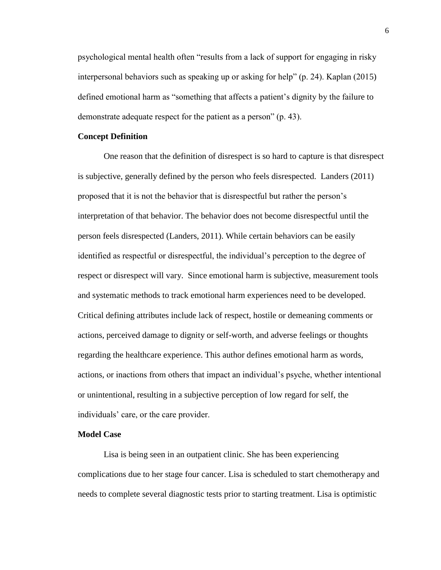psychological mental health often "results from a lack of support for engaging in risky interpersonal behaviors such as speaking up or asking for help" (p. 24). Kaplan (2015) defined emotional harm as "something that affects a patient's dignity by the failure to demonstrate adequate respect for the patient as a person" (p. 43).

#### **Concept Definition**

One reason that the definition of disrespect is so hard to capture is that disrespect is subjective, generally defined by the person who feels disrespected. Landers (2011) proposed that it is not the behavior that is disrespectful but rather the person's interpretation of that behavior. The behavior does not become disrespectful until the person feels disrespected (Landers, 2011). While certain behaviors can be easily identified as respectful or disrespectful, the individual's perception to the degree of respect or disrespect will vary. Since emotional harm is subjective, measurement tools and systematic methods to track emotional harm experiences need to be developed. Critical defining attributes include lack of respect, hostile or demeaning comments or actions, perceived damage to dignity or self-worth, and adverse feelings or thoughts regarding the healthcare experience. This author defines emotional harm as words, actions, or inactions from others that impact an individual's psyche, whether intentional or unintentional, resulting in a subjective perception of low regard for self, the individuals' care, or the care provider.

# **Model Case**

Lisa is being seen in an outpatient clinic. She has been experiencing complications due to her stage four cancer. Lisa is scheduled to start chemotherapy and needs to complete several diagnostic tests prior to starting treatment. Lisa is optimistic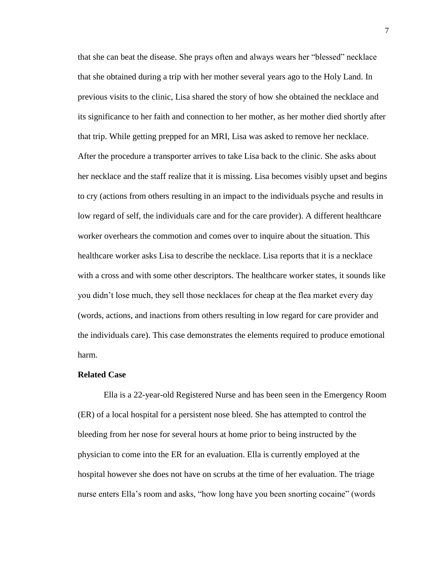that she can beat the disease. She prays often and always wears her "blessed" necklace that she obtained during a trip with her mother several years ago to the Holy Land. In previous visits to the clinic, Lisa shared the story of how she obtained the necklace and its significance to her faith and connection to her mother, as her mother died shortly after that trip. While getting prepped for an MRI, Lisa was asked to remove her necklace. After the procedure a transporter arrives to take Lisa back to the clinic. She asks about her necklace and the staff realize that it is missing. Lisa becomes visibly upset and begins to cry (actions from others resulting in an impact to the individuals psyche and results in low regard of self, the individuals care and for the care provider). A different healthcare worker overhears the commotion and comes over to inquire about the situation. This healthcare worker asks Lisa to describe the necklace. Lisa reports that it is a necklace with a cross and with some other descriptors. The healthcare worker states, it sounds like you didn't lose much, they sell those necklaces for cheap at the flea market every day (words, actions, and inactions from others resulting in low regard for care provider and the individuals care). This case demonstrates the elements required to produce emotional harm.

#### **Related Case**

Ella is a 22-year-old Registered Nurse and has been seen in the Emergency Room (ER) of a local hospital for a persistent nose bleed. She has attempted to control the bleeding from her nose for several hours at home prior to being instructed by the physician to come into the ER for an evaluation. Ella is currently employed at the hospital however she does not have on scrubs at the time of her evaluation. The triage nurse enters Ella's room and asks, "how long have you been snorting cocaine" (words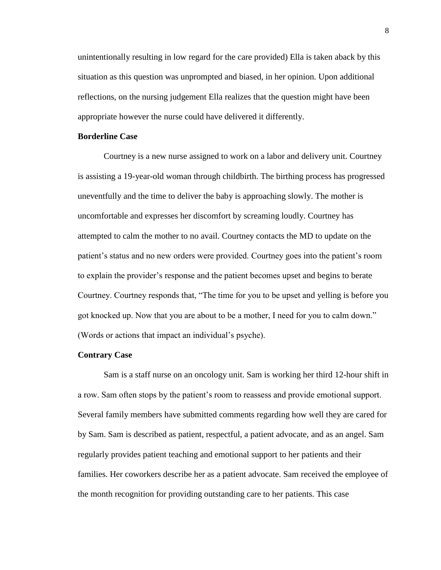unintentionally resulting in low regard for the care provided) Ella is taken aback by this situation as this question was unprompted and biased, in her opinion. Upon additional reflections, on the nursing judgement Ella realizes that the question might have been appropriate however the nurse could have delivered it differently.

# **Borderline Case**

Courtney is a new nurse assigned to work on a labor and delivery unit. Courtney is assisting a 19-year-old woman through childbirth. The birthing process has progressed uneventfully and the time to deliver the baby is approaching slowly. The mother is uncomfortable and expresses her discomfort by screaming loudly. Courtney has attempted to calm the mother to no avail. Courtney contacts the MD to update on the patient's status and no new orders were provided. Courtney goes into the patient's room to explain the provider's response and the patient becomes upset and begins to berate Courtney. Courtney responds that, "The time for you to be upset and yelling is before you got knocked up. Now that you are about to be a mother, I need for you to calm down." (Words or actions that impact an individual's psyche).

#### **Contrary Case**

Sam is a staff nurse on an oncology unit. Sam is working her third 12-hour shift in a row. Sam often stops by the patient's room to reassess and provide emotional support. Several family members have submitted comments regarding how well they are cared for by Sam. Sam is described as patient, respectful, a patient advocate, and as an angel. Sam regularly provides patient teaching and emotional support to her patients and their families. Her coworkers describe her as a patient advocate. Sam received the employee of the month recognition for providing outstanding care to her patients. This case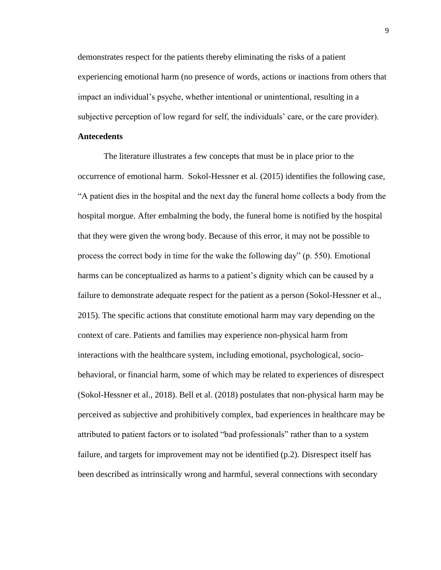demonstrates respect for the patients thereby eliminating the risks of a patient experiencing emotional harm (no presence of words, actions or inactions from others that impact an individual's psyche, whether intentional or unintentional, resulting in a subjective perception of low regard for self, the individuals' care, or the care provider).

# **Antecedents**

The literature illustrates a few concepts that must be in place prior to the occurrence of emotional harm. Sokol-Hessner et al. (2015) identifies the following case, "A patient dies in the hospital and the next day the funeral home collects a body from the hospital morgue. After embalming the body, the funeral home is notified by the hospital that they were given the wrong body. Because of this error, it may not be possible to process the correct body in time for the wake the following day" (p. 550). Emotional harms can be conceptualized as harms to a patient's dignity which can be caused by a failure to demonstrate adequate respect for the patient as a person (Sokol-Hessner et al., 2015). The specific actions that constitute emotional harm may vary depending on the context of care. Patients and families may experience non-physical harm from interactions with the healthcare system, including emotional, psychological, sociobehavioral, or financial harm, some of which may be related to experiences of disrespect (Sokol-Hessner et al., 2018). Bell et al. (2018) postulates that non-physical harm may be perceived as subjective and prohibitively complex, bad experiences in healthcare may be attributed to patient factors or to isolated "bad professionals" rather than to a system failure, and targets for improvement may not be identified (p.2). Disrespect itself has been described as intrinsically wrong and harmful, several connections with secondary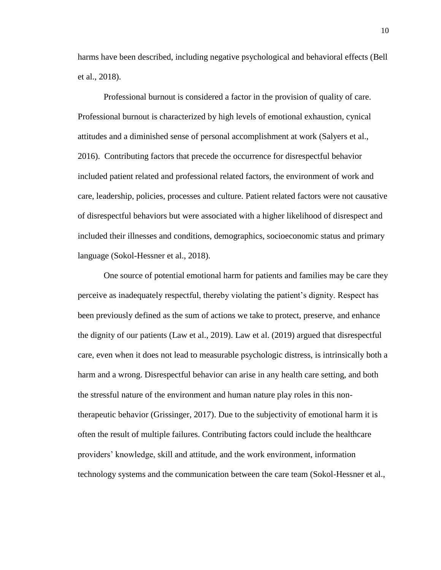harms have been described, including negative psychological and behavioral effects (Bell et al., 2018).

Professional burnout is considered a factor in the provision of quality of care. Professional burnout is characterized by high levels of emotional exhaustion, cynical attitudes and a diminished sense of personal accomplishment at work (Salyers et al., 2016). Contributing factors that precede the occurrence for disrespectful behavior included patient related and professional related factors, the environment of work and care, leadership, policies, processes and culture. Patient related factors were not causative of disrespectful behaviors but were associated with a higher likelihood of disrespect and included their illnesses and conditions, demographics, socioeconomic status and primary language (Sokol-Hessner et al., 2018).

One source of potential emotional harm for patients and families may be care they perceive as inadequately respectful, thereby violating the patient's dignity. Respect has been previously defined as the sum of actions we take to protect, preserve, and enhance the dignity of our patients (Law et al., 2019). Law et al. (2019) argued that disrespectful care, even when it does not lead to measurable psychologic distress, is intrinsically both a harm and a wrong. Disrespectful behavior can arise in any health care setting, and both the stressful nature of the environment and human nature play roles in this nontherapeutic behavior (Grissinger, 2017). Due to the subjectivity of emotional harm it is often the result of multiple failures. Contributing factors could include the healthcare providers' knowledge, skill and attitude, and the work environment, information technology systems and the communication between the care team (Sokol-Hessner et al.,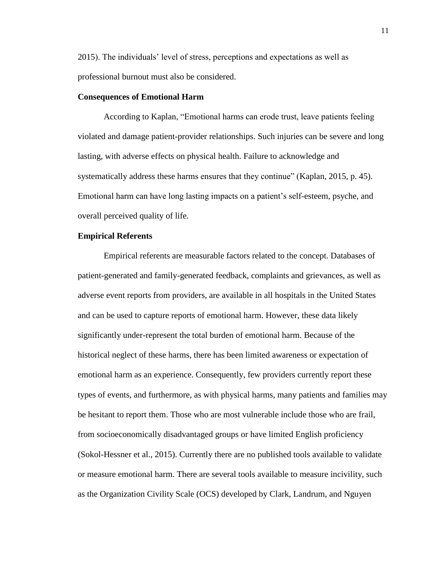2015). The individuals' level of stress, perceptions and expectations as well as professional burnout must also be considered.

# **Consequences of Emotional Harm**

According to Kaplan, "Emotional harms can erode trust, leave patients feeling violated and damage patient-provider relationships. Such injuries can be severe and long lasting, with adverse effects on physical health. Failure to acknowledge and systematically address these harms ensures that they continue" (Kaplan, 2015, p. 45). Emotional harm can have long lasting impacts on a patient's self-esteem, psyche, and overall perceived quality of life.

### **Empirical Referents**

Empirical referents are measurable factors related to the concept. Databases of patient-generated and family-generated feedback, complaints and grievances, as well as adverse event reports from providers, are available in all hospitals in the United States and can be used to capture reports of emotional harm. However, these data likely significantly under-represent the total burden of emotional harm. Because of the historical neglect of these harms, there has been limited awareness or expectation of emotional harm as an experience. Consequently, few providers currently report these types of events, and furthermore, as with physical harms, many patients and families may be hesitant to report them. Those who are most vulnerable include those who are frail, from socioeconomically disadvantaged groups or have limited English proficiency (Sokol-Hessner et al., 2015). Currently there are no published tools available to validate or measure emotional harm. There are several tools available to measure incivility, such as the Organization Civility Scale (OCS) developed by Clark, Landrum, and Nguyen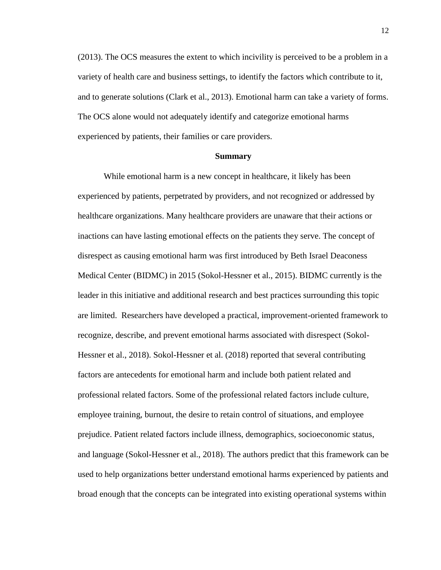(2013). The OCS measures the extent to which incivility is perceived to be a problem in a variety of health care and business settings, to identify the factors which contribute to it, and to generate solutions (Clark et al., 2013). Emotional harm can take a variety of forms. The OCS alone would not adequately identify and categorize emotional harms experienced by patients, their families or care providers.

#### **Summary**

While emotional harm is a new concept in healthcare, it likely has been experienced by patients, perpetrated by providers, and not recognized or addressed by healthcare organizations. Many healthcare providers are unaware that their actions or inactions can have lasting emotional effects on the patients they serve. The concept of disrespect as causing emotional harm was first introduced by Beth Israel Deaconess Medical Center (BIDMC) in 2015 (Sokol-Hessner et al., 2015). BIDMC currently is the leader in this initiative and additional research and best practices surrounding this topic are limited. Researchers have developed a practical, improvement-oriented framework to recognize, describe, and prevent emotional harms associated with disrespect (Sokol-Hessner et al., 2018). Sokol-Hessner et al. (2018) reported that several contributing factors are antecedents for emotional harm and include both patient related and professional related factors. Some of the professional related factors include culture, employee training, burnout, the desire to retain control of situations, and employee prejudice. Patient related factors include illness, demographics, socioeconomic status, and language (Sokol-Hessner et al., 2018). The authors predict that this framework can be used to help organizations better understand emotional harms experienced by patients and broad enough that the concepts can be integrated into existing operational systems within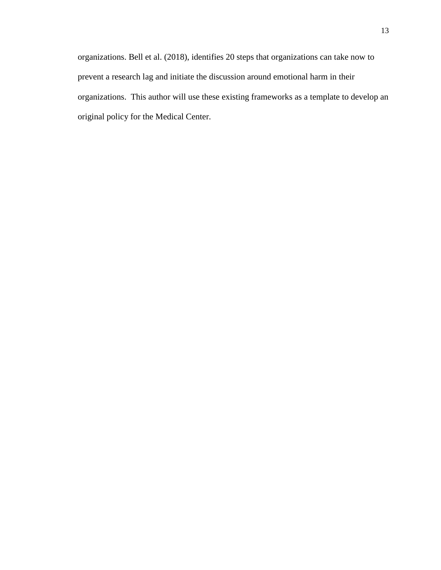organizations. Bell et al. (2018), identifies 20 steps that organizations can take now to prevent a research lag and initiate the discussion around emotional harm in their organizations. This author will use these existing frameworks as a template to develop an original policy for the Medical Center.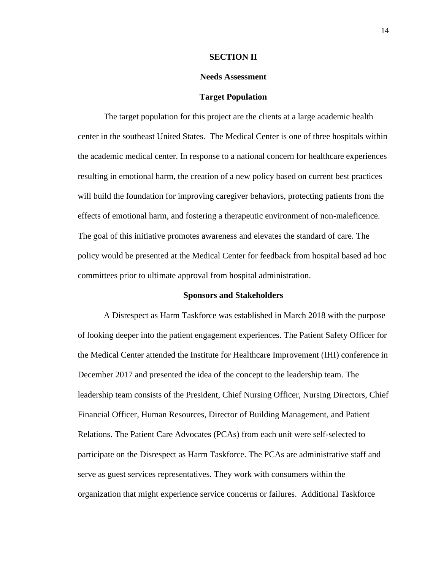#### **SECTION II**

## **Needs Assessment**

#### **Target Population**

The target population for this project are the clients at a large academic health center in the southeast United States. The Medical Center is one of three hospitals within the academic medical center. In response to a national concern for healthcare experiences resulting in emotional harm, the creation of a new policy based on current best practices will build the foundation for improving caregiver behaviors, protecting patients from the effects of emotional harm, and fostering a therapeutic environment of non-maleficence. The goal of this initiative promotes awareness and elevates the standard of care. The policy would be presented at the Medical Center for feedback from hospital based ad hoc committees prior to ultimate approval from hospital administration.

#### **Sponsors and Stakeholders**

A Disrespect as Harm Taskforce was established in March 2018 with the purpose of looking deeper into the patient engagement experiences. The Patient Safety Officer for the Medical Center attended the Institute for Healthcare Improvement (IHI) conference in December 2017 and presented the idea of the concept to the leadership team. The leadership team consists of the President, Chief Nursing Officer, Nursing Directors, Chief Financial Officer, Human Resources, Director of Building Management, and Patient Relations. The Patient Care Advocates (PCAs) from each unit were self-selected to participate on the Disrespect as Harm Taskforce. The PCAs are administrative staff and serve as guest services representatives. They work with consumers within the organization that might experience service concerns or failures. Additional Taskforce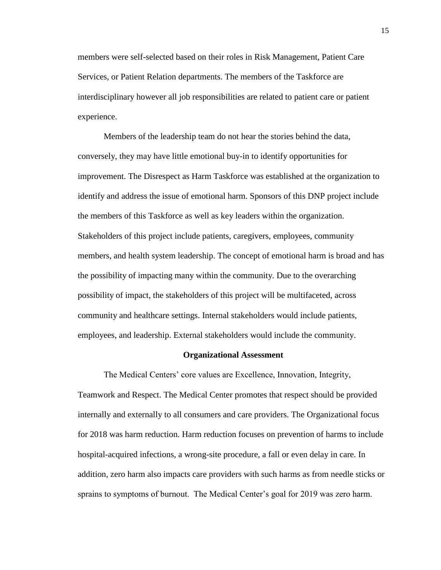members were self-selected based on their roles in Risk Management, Patient Care Services, or Patient Relation departments. The members of the Taskforce are interdisciplinary however all job responsibilities are related to patient care or patient experience.

Members of the leadership team do not hear the stories behind the data, conversely, they may have little emotional buy-in to identify opportunities for improvement. The Disrespect as Harm Taskforce was established at the organization to identify and address the issue of emotional harm. Sponsors of this DNP project include the members of this Taskforce as well as key leaders within the organization. Stakeholders of this project include patients, caregivers, employees, community members, and health system leadership. The concept of emotional harm is broad and has the possibility of impacting many within the community. Due to the overarching possibility of impact, the stakeholders of this project will be multifaceted, across community and healthcare settings. Internal stakeholders would include patients, employees, and leadership. External stakeholders would include the community.

#### **Organizational Assessment**

The Medical Centers' core values are Excellence, Innovation, Integrity, Teamwork and Respect. The Medical Center promotes that respect should be provided internally and externally to all consumers and care providers. The Organizational focus for 2018 was harm reduction. Harm reduction focuses on prevention of harms to include hospital-acquired infections, a wrong-site procedure, a fall or even delay in care. In addition, zero harm also impacts care providers with such harms as from needle sticks or sprains to symptoms of burnout. The Medical Center's goal for 2019 was zero harm.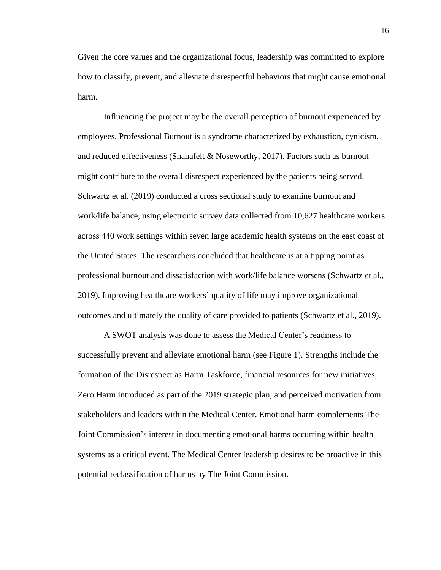Given the core values and the organizational focus, leadership was committed to explore how to classify, prevent, and alleviate disrespectful behaviors that might cause emotional harm.

Influencing the project may be the overall perception of burnout experienced by employees. Professional Burnout is a syndrome characterized by exhaustion, cynicism, and reduced effectiveness (Shanafelt & Noseworthy, 2017). Factors such as burnout might contribute to the overall disrespect experienced by the patients being served. Schwartz et al. (2019) conducted a cross sectional study to examine burnout and work/life balance, using electronic survey data collected from 10,627 healthcare workers across 440 work settings within seven large academic health systems on the east coast of the United States. The researchers concluded that healthcare is at a tipping point as professional burnout and dissatisfaction with work/life balance worsens (Schwartz et al., 2019). Improving healthcare workers' quality of life may improve organizational outcomes and ultimately the quality of care provided to patients (Schwartz et al., 2019).

A SWOT analysis was done to assess the Medical Center's readiness to successfully prevent and alleviate emotional harm (see Figure 1). Strengths include the formation of the Disrespect as Harm Taskforce, financial resources for new initiatives, Zero Harm introduced as part of the 2019 strategic plan, and perceived motivation from stakeholders and leaders within the Medical Center. Emotional harm complements The Joint Commission's interest in documenting emotional harms occurring within health systems as a critical event. The Medical Center leadership desires to be proactive in this potential reclassification of harms by The Joint Commission.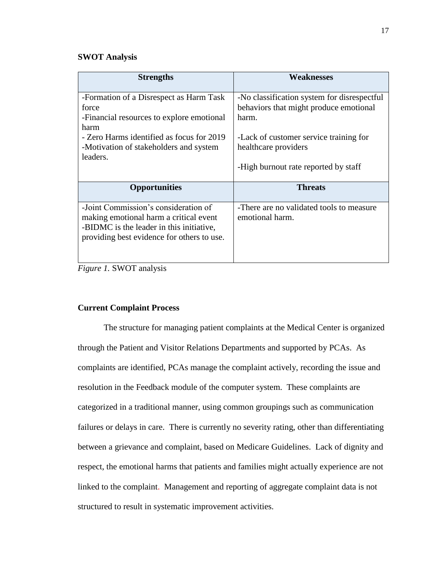# **SWOT Analysis**

| <b>Strengths</b>                           | Weaknesses                                  |
|--------------------------------------------|---------------------------------------------|
| -Formation of a Disrespect as Harm Task    | -No classification system for disrespectful |
| force                                      | behaviors that might produce emotional      |
| -Financial resources to explore emotional  | harm.                                       |
| harm                                       |                                             |
| - Zero Harms identified as focus for 2019  | - Lack of customer service training for     |
| -Motivation of stakeholders and system     | healthcare providers                        |
| leaders.                                   |                                             |
|                                            | -High burnout rate reported by staff        |
| <b>Opportunities</b>                       | <b>Threats</b>                              |
| -Joint Commission's consideration of       | -There are no validated tools to measure    |
| making emotional harm a critical event     | emotional harm.                             |
| -BIDMC is the leader in this initiative,   |                                             |
| providing best evidence for others to use. |                                             |
|                                            |                                             |
|                                            |                                             |

*Figure 1.* SWOT analysis

# **Current Complaint Process**

The structure for managing patient complaints at the Medical Center is organized through the Patient and Visitor Relations Departments and supported by PCAs. As complaints are identified, PCAs manage the complaint actively, recording the issue and resolution in the Feedback module of the computer system. These complaints are categorized in a traditional manner, using common groupings such as communication failures or delays in care. There is currently no severity rating, other than differentiating between a grievance and complaint, based on Medicare Guidelines. Lack of dignity and respect, the emotional harms that patients and families might actually experience are not linked to the complaint. Management and reporting of aggregate complaint data is not structured to result in systematic improvement activities.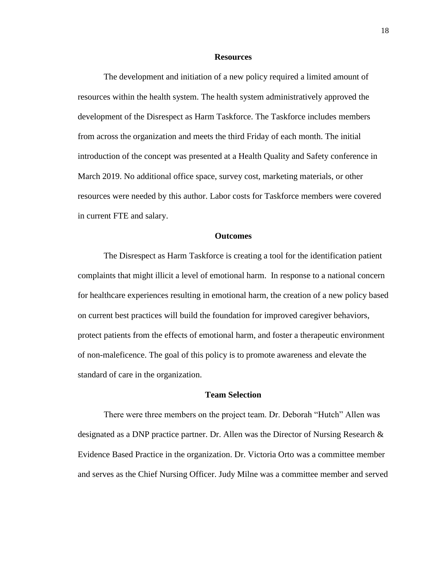### **Resources**

The development and initiation of a new policy required a limited amount of resources within the health system. The health system administratively approved the development of the Disrespect as Harm Taskforce. The Taskforce includes members from across the organization and meets the third Friday of each month. The initial introduction of the concept was presented at a Health Quality and Safety conference in March 2019. No additional office space, survey cost, marketing materials, or other resources were needed by this author. Labor costs for Taskforce members were covered in current FTE and salary.

#### **Outcomes**

The Disrespect as Harm Taskforce is creating a tool for the identification patient complaints that might illicit a level of emotional harm. In response to a national concern for healthcare experiences resulting in emotional harm, the creation of a new policy based on current best practices will build the foundation for improved caregiver behaviors, protect patients from the effects of emotional harm, and foster a therapeutic environment of non-maleficence. The goal of this policy is to promote awareness and elevate the standard of care in the organization.

# **Team Selection**

There were three members on the project team. Dr. Deborah "Hutch" Allen was designated as a DNP practice partner. Dr. Allen was the Director of Nursing Research  $\&$ Evidence Based Practice in the organization. Dr. Victoria Orto was a committee member and serves as the Chief Nursing Officer. Judy Milne was a committee member and served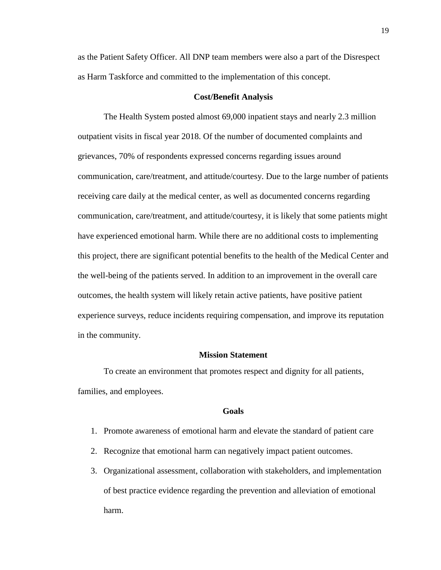as the Patient Safety Officer. All DNP team members were also a part of the Disrespect as Harm Taskforce and committed to the implementation of this concept.

#### **Cost/Benefit Analysis**

The Health System posted almost 69,000 inpatient stays and nearly 2.3 million outpatient visits in fiscal year 2018. Of the number of documented complaints and grievances, 70% of respondents expressed concerns regarding issues around communication, care/treatment, and attitude/courtesy. Due to the large number of patients receiving care daily at the medical center, as well as documented concerns regarding communication, care/treatment, and attitude/courtesy, it is likely that some patients might have experienced emotional harm. While there are no additional costs to implementing this project, there are significant potential benefits to the health of the Medical Center and the well-being of the patients served. In addition to an improvement in the overall care outcomes, the health system will likely retain active patients, have positive patient experience surveys, reduce incidents requiring compensation, and improve its reputation in the community.

## **Mission Statement**

To create an environment that promotes respect and dignity for all patients, families, and employees.

# **Goals**

- 1. Promote awareness of emotional harm and elevate the standard of patient care
- 2. Recognize that emotional harm can negatively impact patient outcomes.
- 3. Organizational assessment, collaboration with stakeholders, and implementation of best practice evidence regarding the prevention and alleviation of emotional harm.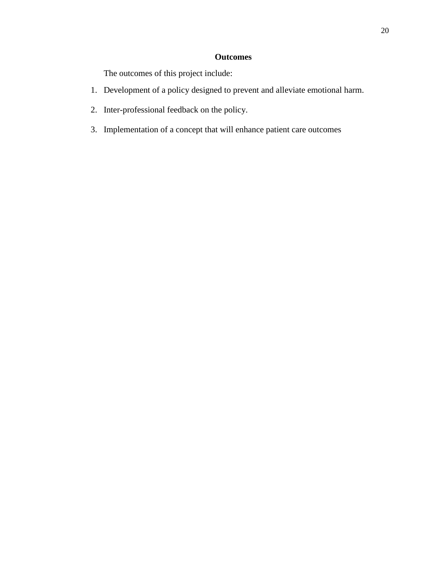# **Outcomes**

The outcomes of this project include:

- 1. Development of a policy designed to prevent and alleviate emotional harm.
- 2. Inter-professional feedback on the policy.
- 3. Implementation of a concept that will enhance patient care outcomes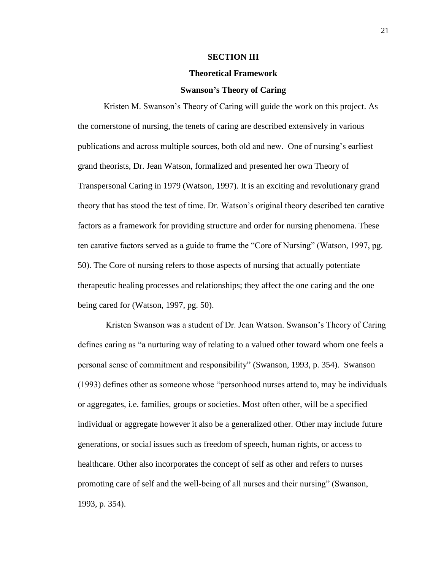#### **SECTION III**

### **Theoretical Framework**

#### **Swanson's Theory of Caring**

Kristen M. Swanson's Theory of Caring will guide the work on this project. As the cornerstone of nursing, the tenets of caring are described extensively in various publications and across multiple sources, both old and new. One of nursing's earliest grand theorists, Dr. Jean Watson, formalized and presented her own Theory of Transpersonal Caring in 1979 (Watson, 1997). It is an exciting and revolutionary grand theory that has stood the test of time. Dr. Watson's original theory described ten carative factors as a framework for providing structure and order for nursing phenomena. These ten carative factors served as a guide to frame the "Core of Nursing" (Watson, 1997, pg. 50). The Core of nursing refers to those aspects of nursing that actually potentiate therapeutic healing processes and relationships; they affect the one caring and the one being cared for (Watson, 1997, pg. 50).

Kristen Swanson was a student of Dr. Jean Watson. Swanson's Theory of Caring defines caring as "a nurturing way of relating to a valued other toward whom one feels a personal sense of commitment and responsibility" (Swanson, 1993, p. 354). Swanson (1993) defines other as someone whose "personhood nurses attend to, may be individuals or aggregates, i.e. families, groups or societies. Most often other, will be a specified individual or aggregate however it also be a generalized other. Other may include future generations, or social issues such as freedom of speech, human rights, or access to healthcare. Other also incorporates the concept of self as other and refers to nurses promoting care of self and the well-being of all nurses and their nursing" (Swanson, 1993, p. 354).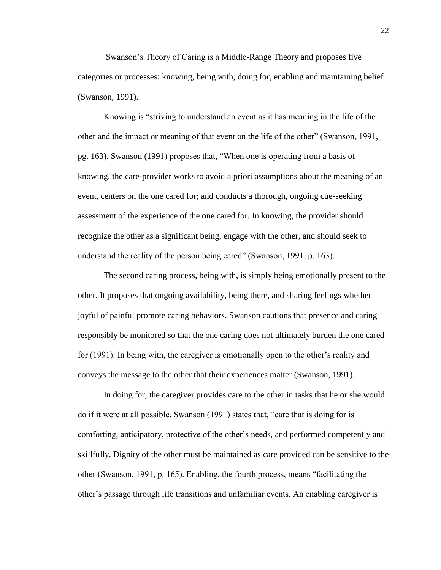Swanson's Theory of Caring is a Middle-Range Theory and proposes five categories or processes: knowing, being with, doing for, enabling and maintaining belief (Swanson, 1991).

Knowing is "striving to understand an event as it has meaning in the life of the other and the impact or meaning of that event on the life of the other" (Swanson, 1991, pg. 163). Swanson (1991) proposes that, "When one is operating from a basis of knowing, the care-provider works to avoid a priori assumptions about the meaning of an event, centers on the one cared for; and conducts a thorough, ongoing cue-seeking assessment of the experience of the one cared for. In knowing, the provider should recognize the other as a significant being, engage with the other, and should seek to understand the reality of the person being cared" (Swanson, 1991, p. 163).

The second caring process, being with, is simply being emotionally present to the other. It proposes that ongoing availability, being there, and sharing feelings whether joyful of painful promote caring behaviors. Swanson cautions that presence and caring responsibly be monitored so that the one caring does not ultimately burden the one cared for (1991). In being with, the caregiver is emotionally open to the other's reality and conveys the message to the other that their experiences matter (Swanson, 1991).

In doing for, the caregiver provides care to the other in tasks that he or she would do if it were at all possible. Swanson (1991) states that, "care that is doing for is comforting, anticipatory, protective of the other's needs, and performed competently and skillfully. Dignity of the other must be maintained as care provided can be sensitive to the other (Swanson, 1991, p. 165). Enabling, the fourth process, means "facilitating the other's passage through life transitions and unfamiliar events. An enabling caregiver is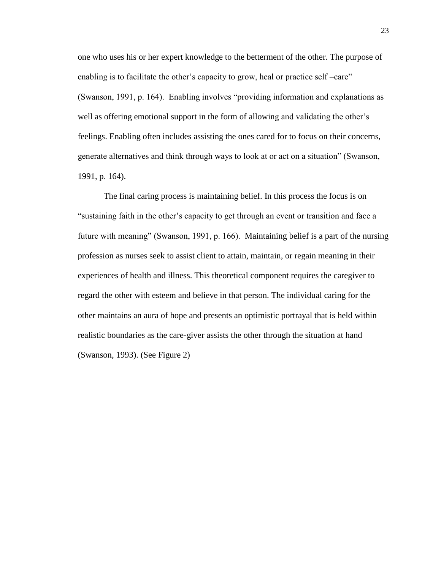one who uses his or her expert knowledge to the betterment of the other. The purpose of enabling is to facilitate the other's capacity to grow, heal or practice self–care" (Swanson, 1991, p. 164). Enabling involves "providing information and explanations as well as offering emotional support in the form of allowing and validating the other's feelings. Enabling often includes assisting the ones cared for to focus on their concerns, generate alternatives and think through ways to look at or act on a situation" (Swanson, 1991, p. 164).

The final caring process is maintaining belief. In this process the focus is on "sustaining faith in the other's capacity to get through an event or transition and face a future with meaning" (Swanson, 1991, p. 166). Maintaining belief is a part of the nursing profession as nurses seek to assist client to attain, maintain, or regain meaning in their experiences of health and illness. This theoretical component requires the caregiver to regard the other with esteem and believe in that person. The individual caring for the other maintains an aura of hope and presents an optimistic portrayal that is held within realistic boundaries as the care-giver assists the other through the situation at hand (Swanson, 1993). (See Figure 2)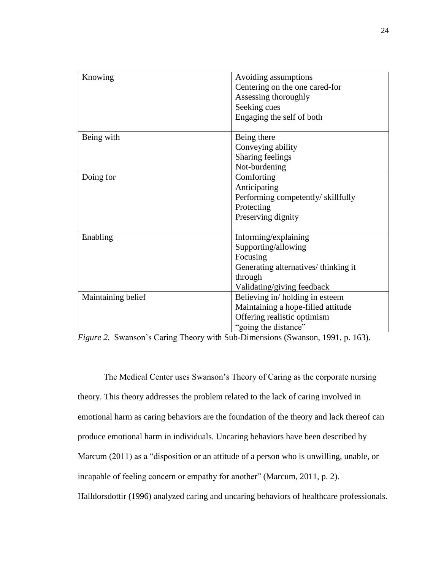| Knowing            | Avoiding assumptions                |
|--------------------|-------------------------------------|
|                    | Centering on the one cared-for      |
|                    | Assessing thoroughly                |
|                    | Seeking cues                        |
|                    | Engaging the self of both           |
|                    |                                     |
| Being with         | Being there                         |
|                    | Conveying ability                   |
|                    | Sharing feelings                    |
|                    | Not-burdening                       |
| Doing for          | Comforting                          |
|                    | Anticipating                        |
|                    | Performing competently/skillfully   |
|                    | Protecting                          |
|                    | Preserving dignity                  |
|                    |                                     |
| Enabling           | Informing/explaining                |
|                    | Supporting/allowing                 |
|                    | Focusing                            |
|                    | Generating alternatives/thinking it |
|                    | through                             |
|                    | Validating/giving feedback          |
| Maintaining belief | Believing in/holding in esteem      |
|                    | Maintaining a hope-filled attitude  |
|                    | Offering realistic optimism         |
|                    | "going the distance"                |

*Figure 2.* Swanson's Caring Theory with Sub-Dimensions (Swanson, 1991, p. 163).

The Medical Center uses Swanson's Theory of Caring as the corporate nursing theory. This theory addresses the problem related to the lack of caring involved in emotional harm as caring behaviors are the foundation of the theory and lack thereof can produce emotional harm in individuals. Uncaring behaviors have been described by Marcum (2011) as a "disposition or an attitude of a person who is unwilling, unable, or incapable of feeling concern or empathy for another" (Marcum, 2011, p. 2). Halldorsdottir (1996) analyzed caring and uncaring behaviors of healthcare professionals.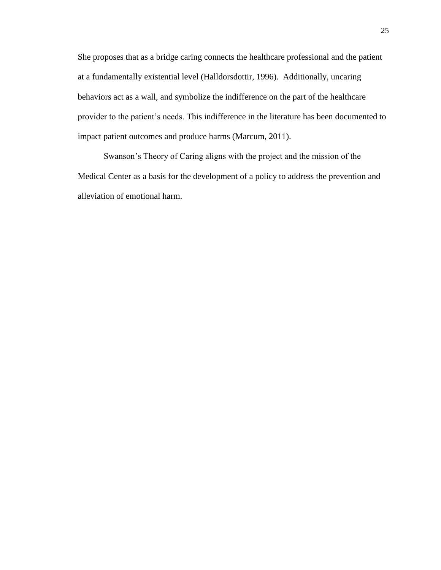She proposes that as a bridge caring connects the healthcare professional and the patient at a fundamentally existential level (Halldorsdottir, 1996). Additionally, uncaring behaviors act as a wall, and symbolize the indifference on the part of the healthcare provider to the patient's needs. This indifference in the literature has been documented to impact patient outcomes and produce harms (Marcum, 2011).

Swanson's Theory of Caring aligns with the project and the mission of the Medical Center as a basis for the development of a policy to address the prevention and alleviation of emotional harm.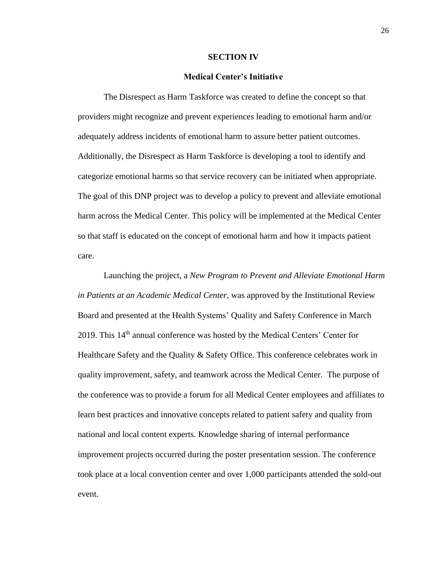#### **SECTION IV**

#### **Medical Center's Initiative**

The Disrespect as Harm Taskforce was created to define the concept so that providers might recognize and prevent experiences leading to emotional harm and/or adequately address incidents of emotional harm to assure better patient outcomes. Additionally, the Disrespect as Harm Taskforce is developing a tool to identify and categorize emotional harms so that service recovery can be initiated when appropriate. The goal of this DNP project was to develop a policy to prevent and alleviate emotional harm across the Medical Center. This policy will be implemented at the Medical Center so that staff is educated on the concept of emotional harm and how it impacts patient care.

Launching the project, a *New Program to Prevent and Alleviate Emotional Harm in Patients at an Academic Medical Center,* was approved by the Institutional Review Board and presented at the Health Systems' Quality and Safety Conference in March 2019. This  $14<sup>th</sup>$  annual conference was hosted by the Medical Centers' Center for Healthcare Safety and the Quality & Safety Office. This conference celebrates work in quality improvement, safety, and teamwork across the Medical Center. The purpose of the conference was to provide a forum for all Medical Center employees and affiliates to learn best practices and innovative concepts related to patient safety and quality from national and local content experts. Knowledge sharing of internal performance improvement projects occurred during the poster presentation session. The conference took place at a local convention center and over 1,000 participants attended the sold-out event.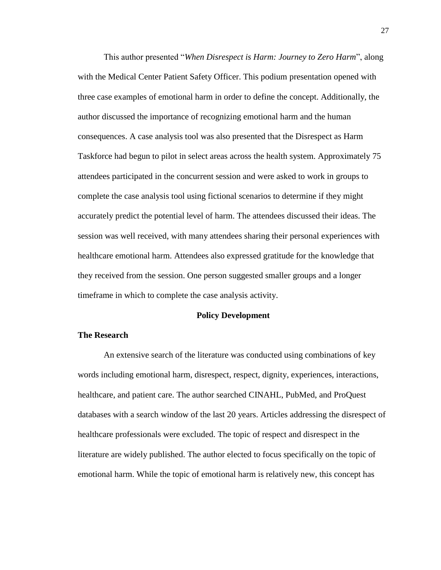This author presented "*When Disrespect is Harm: Journey to Zero Harm*", along with the Medical Center Patient Safety Officer. This podium presentation opened with three case examples of emotional harm in order to define the concept. Additionally, the author discussed the importance of recognizing emotional harm and the human consequences. A case analysis tool was also presented that the Disrespect as Harm Taskforce had begun to pilot in select areas across the health system. Approximately 75 attendees participated in the concurrent session and were asked to work in groups to complete the case analysis tool using fictional scenarios to determine if they might accurately predict the potential level of harm. The attendees discussed their ideas. The session was well received, with many attendees sharing their personal experiences with healthcare emotional harm. Attendees also expressed gratitude for the knowledge that they received from the session. One person suggested smaller groups and a longer timeframe in which to complete the case analysis activity.

#### **Policy Development**

# **The Research**

An extensive search of the literature was conducted using combinations of key words including emotional harm, disrespect, respect, dignity, experiences, interactions, healthcare, and patient care. The author searched CINAHL, PubMed, and ProQuest databases with a search window of the last 20 years. Articles addressing the disrespect of healthcare professionals were excluded. The topic of respect and disrespect in the literature are widely published. The author elected to focus specifically on the topic of emotional harm. While the topic of emotional harm is relatively new, this concept has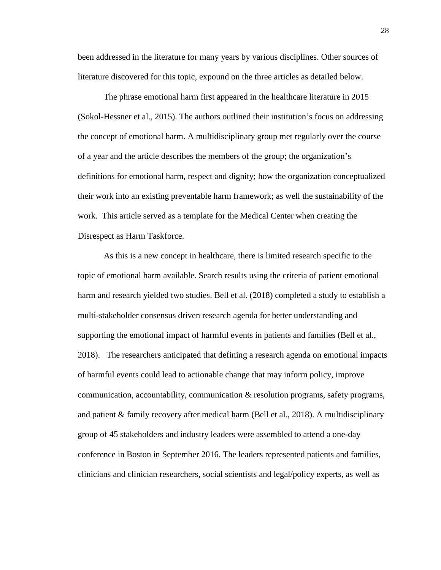been addressed in the literature for many years by various disciplines. Other sources of literature discovered for this topic, expound on the three articles as detailed below.

The phrase emotional harm first appeared in the healthcare literature in 2015 (Sokol-Hessner et al., 2015). The authors outlined their institution's focus on addressing the concept of emotional harm. A multidisciplinary group met regularly over the course of a year and the article describes the members of the group; the organization's definitions for emotional harm, respect and dignity; how the organization conceptualized their work into an existing preventable harm framework; as well the sustainability of the work. This article served as a template for the Medical Center when creating the Disrespect as Harm Taskforce.

As this is a new concept in healthcare, there is limited research specific to the topic of emotional harm available. Search results using the criteria of patient emotional harm and research yielded two studies. Bell et al. (2018) completed a study to establish a multi-stakeholder consensus driven research agenda for better understanding and supporting the emotional impact of harmful events in patients and families (Bell et al., 2018). The researchers anticipated that defining a research agenda on emotional impacts of harmful events could lead to actionable change that may inform policy, improve communication, accountability, communication & resolution programs, safety programs, and patient & family recovery after medical harm (Bell et al., 2018). A multidisciplinary group of 45 stakeholders and industry leaders were assembled to attend a one-day conference in Boston in September 2016. The leaders represented patients and families, clinicians and clinician researchers, social scientists and legal/policy experts, as well as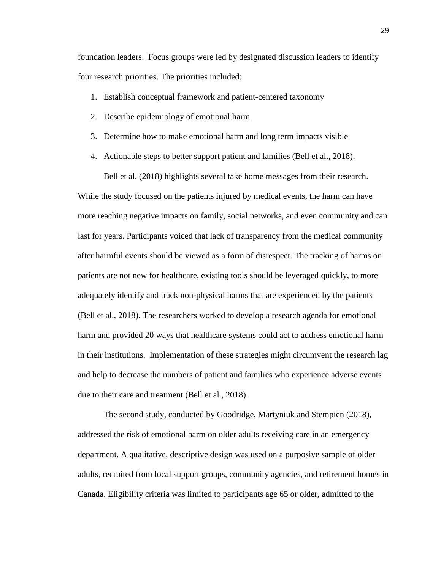foundation leaders. Focus groups were led by designated discussion leaders to identify four research priorities. The priorities included:

- 1. Establish conceptual framework and patient-centered taxonomy
- 2. Describe epidemiology of emotional harm
- 3. Determine how to make emotional harm and long term impacts visible
- 4. Actionable steps to better support patient and families (Bell et al., 2018).

Bell et al. (2018) highlights several take home messages from their research. While the study focused on the patients injured by medical events, the harm can have more reaching negative impacts on family, social networks, and even community and can last for years. Participants voiced that lack of transparency from the medical community after harmful events should be viewed as a form of disrespect. The tracking of harms on patients are not new for healthcare, existing tools should be leveraged quickly, to more adequately identify and track non-physical harms that are experienced by the patients (Bell et al., 2018). The researchers worked to develop a research agenda for emotional harm and provided 20 ways that healthcare systems could act to address emotional harm in their institutions. Implementation of these strategies might circumvent the research lag and help to decrease the numbers of patient and families who experience adverse events due to their care and treatment (Bell et al., 2018).

The second study, conducted by Goodridge, Martyniuk and Stempien (2018), addressed the risk of emotional harm on older adults receiving care in an emergency department. A qualitative, descriptive design was used on a purposive sample of older adults, recruited from local support groups, community agencies, and retirement homes in Canada. Eligibility criteria was limited to participants age 65 or older, admitted to the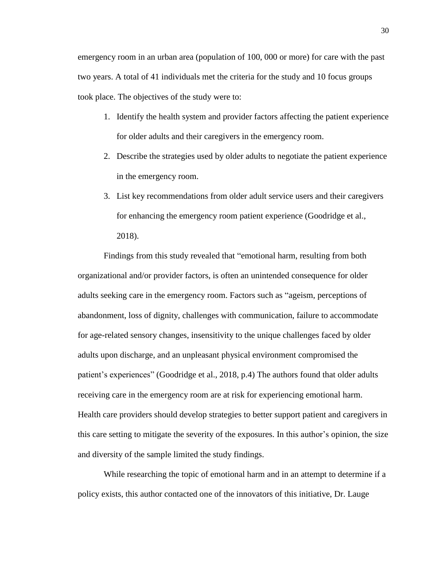emergency room in an urban area (population of 100, 000 or more) for care with the past two years. A total of 41 individuals met the criteria for the study and 10 focus groups took place. The objectives of the study were to:

- 1. Identify the health system and provider factors affecting the patient experience for older adults and their caregivers in the emergency room.
- 2. Describe the strategies used by older adults to negotiate the patient experience in the emergency room.
- 3. List key recommendations from older adult service users and their caregivers for enhancing the emergency room patient experience (Goodridge et al., 2018).

Findings from this study revealed that "emotional harm, resulting from both organizational and/or provider factors, is often an unintended consequence for older adults seeking care in the emergency room. Factors such as "ageism, perceptions of abandonment, loss of dignity, challenges with communication, failure to accommodate for age-related sensory changes, insensitivity to the unique challenges faced by older adults upon discharge, and an unpleasant physical environment compromised the patient's experiences" (Goodridge et al., 2018, p.4) The authors found that older adults receiving care in the emergency room are at risk for experiencing emotional harm. Health care providers should develop strategies to better support patient and caregivers in this care setting to mitigate the severity of the exposures. In this author's opinion, the size and diversity of the sample limited the study findings.

While researching the topic of emotional harm and in an attempt to determine if a policy exists, this author contacted one of the innovators of this initiative, Dr. Lauge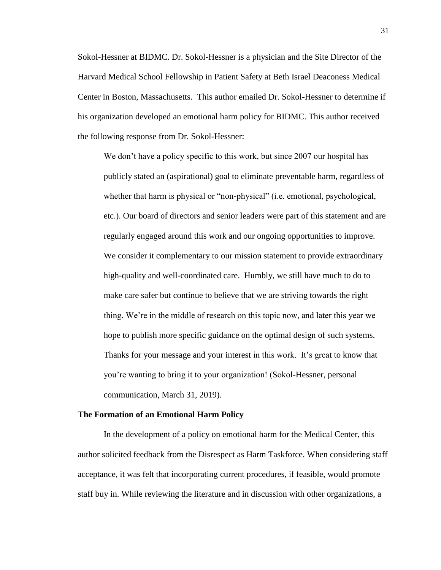Sokol-Hessner at BIDMC. Dr. Sokol-Hessner is a physician and the Site Director of the Harvard Medical School Fellowship in Patient Safety at Beth Israel Deaconess Medical Center in Boston, Massachusetts. This author emailed Dr. Sokol-Hessner to determine if his organization developed an emotional harm policy for BIDMC. This author received the following response from Dr. Sokol-Hessner:

We don't have a policy specific to this work, but since 2007 our hospital has publicly stated an (aspirational) goal to eliminate preventable harm, regardless of whether that harm is physical or "non-physical" (i.e. emotional, psychological, etc.). Our board of directors and senior leaders were part of this statement and are regularly engaged around this work and our ongoing opportunities to improve. We consider it complementary to our mission statement to provide extraordinary high-quality and well-coordinated care. Humbly, we still have much to do to make care safer but continue to believe that we are striving towards the right thing. We're in the middle of research on this topic now, and later this year we hope to publish more specific guidance on the optimal design of such systems. Thanks for your message and your interest in this work. It's great to know that you're wanting to bring it to your organization! (Sokol-Hessner, personal communication, March 31, 2019).

#### **The Formation of an Emotional Harm Policy**

In the development of a policy on emotional harm for the Medical Center, this author solicited feedback from the Disrespect as Harm Taskforce. When considering staff acceptance, it was felt that incorporating current procedures, if feasible, would promote staff buy in. While reviewing the literature and in discussion with other organizations, a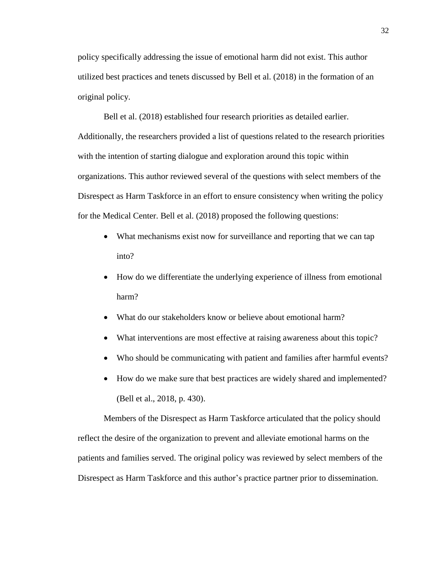policy specifically addressing the issue of emotional harm did not exist. This author utilized best practices and tenets discussed by Bell et al. (2018) in the formation of an original policy.

Bell et al. (2018) established four research priorities as detailed earlier. Additionally, the researchers provided a list of questions related to the research priorities with the intention of starting dialogue and exploration around this topic within organizations. This author reviewed several of the questions with select members of the Disrespect as Harm Taskforce in an effort to ensure consistency when writing the policy for the Medical Center. Bell et al. (2018) proposed the following questions:

- What mechanisms exist now for surveillance and reporting that we can tap into?
- How do we differentiate the underlying experience of illness from emotional harm?
- What do our stakeholders know or believe about emotional harm?
- What interventions are most effective at raising awareness about this topic?
- Who should be communicating with patient and families after harmful events?
- How do we make sure that best practices are widely shared and implemented? (Bell et al., 2018, p. 430).

Members of the Disrespect as Harm Taskforce articulated that the policy should reflect the desire of the organization to prevent and alleviate emotional harms on the patients and families served. The original policy was reviewed by select members of the Disrespect as Harm Taskforce and this author's practice partner prior to dissemination.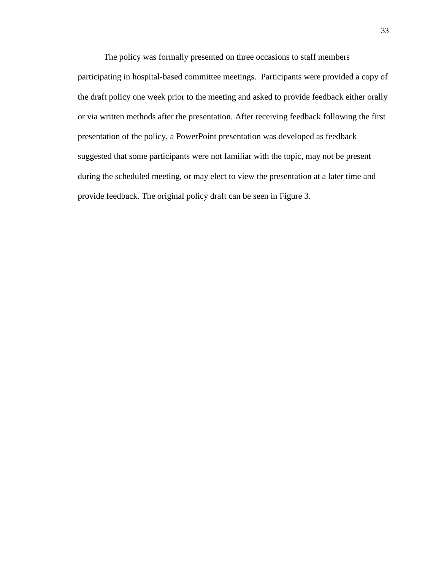The policy was formally presented on three occasions to staff members participating in hospital-based committee meetings. Participants were provided a copy of the draft policy one week prior to the meeting and asked to provide feedback either orally or via written methods after the presentation. After receiving feedback following the first presentation of the policy, a PowerPoint presentation was developed as feedback suggested that some participants were not familiar with the topic, may not be present during the scheduled meeting, or may elect to view the presentation at a later time and provide feedback. The original policy draft can be seen in Figure 3.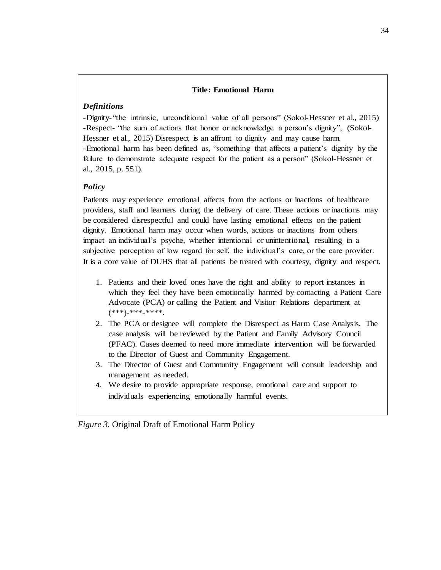# **Title: Emotional Harm**

# *Definitions*

-Dignity-"the intrinsic, unconditional value of all persons" (Sokol-Hessner et al., 2015) -Respect- "the sum of actions that honor or acknowledge a person's dignity", (Sokol-Hessner et al., 2015) Disrespect is an affront to dignity and may cause harm. -Emotional harm has been defined as, "something that affects a patient's dignity by the failure to demonstrate adequate respect for the patient as a person" (Sokol-Hessner et al., 2015, p. 551).

# *Policy*

Patients may experience emotional affects from the actions or inactions of healthcare providers, staff and learners during the delivery of care. These actions or inactions may be considered disrespectful and could have lasting emotional effects on the patient dignity. Emotional harm may occur when words, actions or inactions from others impact an individual's psyche, whether intentional or unintentional, resulting in a subjective perception of low regard for self, the individual's care, or the care provider. It is a core value of DUHS that all patients be treated with courtesy, dignity and respect.

- 1. Patients and their loved ones have the right and ability to report instances in which they feel they have been emotionally harmed by contacting a Patient Care Advocate (PCA) or calling the Patient and Visitor Relations department at (\*\*\*)-\*\*\*-\*\*\*\*.
- 2. The PCA or designee will complete the Disrespect as Harm Case Analysis. The case analysis will be reviewed by the Patient and Family Advisory Council (PFAC). Cases deemed to need more immediate intervention will be forwarded to the Director of Guest and Community Engagement.
- 3. The Director of Guest and Community Engagement will consult leadership and management as needed.
- 4. We desire to provide appropriate response, emotional care and support to individuals experiencing emotionally harmful events.

*Figure 3.* Original Draft of Emotional Harm Policy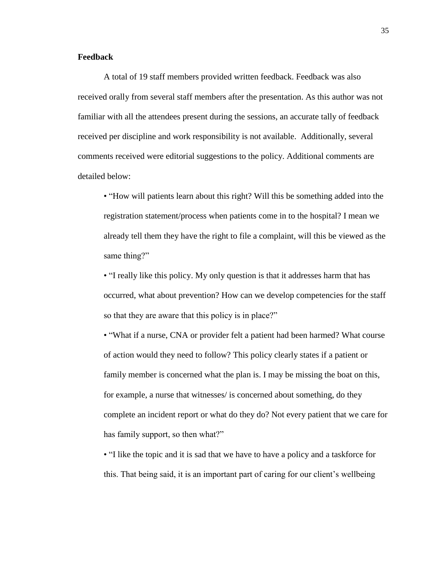# **Feedback**

A total of 19 staff members provided written feedback. Feedback was also received orally from several staff members after the presentation. As this author was not familiar with all the attendees present during the sessions, an accurate tally of feedback received per discipline and work responsibility is not available. Additionally, several comments received were editorial suggestions to the policy. Additional comments are detailed below:

• "How will patients learn about this right? Will this be something added into the registration statement/process when patients come in to the hospital? I mean we already tell them they have the right to file a complaint, will this be viewed as the same thing?"

• "I really like this policy. My only question is that it addresses harm that has occurred, what about prevention? How can we develop competencies for the staff so that they are aware that this policy is in place?"

• "What if a nurse, CNA or provider felt a patient had been harmed? What course of action would they need to follow? This policy clearly states if a patient or family member is concerned what the plan is. I may be missing the boat on this, for example, a nurse that witnesses/ is concerned about something, do they complete an incident report or what do they do? Not every patient that we care for has family support, so then what?"

• "I like the topic and it is sad that we have to have a policy and a taskforce for this. That being said, it is an important part of caring for our client's wellbeing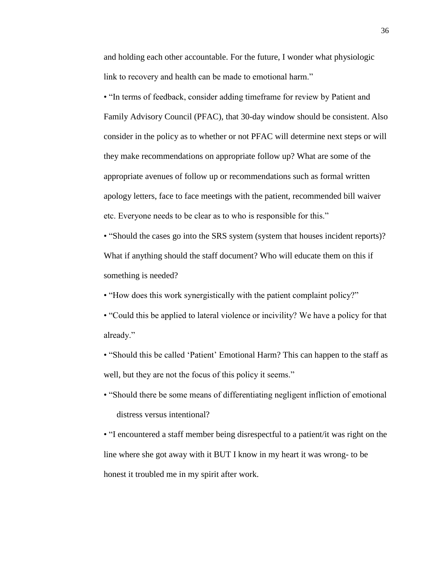and holding each other accountable. For the future, I wonder what physiologic link to recovery and health can be made to emotional harm."

• "In terms of feedback, consider adding timeframe for review by Patient and Family Advisory Council (PFAC), that 30-day window should be consistent. Also consider in the policy as to whether or not PFAC will determine next steps or will they make recommendations on appropriate follow up? What are some of the appropriate avenues of follow up or recommendations such as formal written apology letters, face to face meetings with the patient, recommended bill waiver etc. Everyone needs to be clear as to who is responsible for this."

• "Should the cases go into the SRS system (system that houses incident reports)? What if anything should the staff document? Who will educate them on this if something is needed?

- "How does this work synergistically with the patient complaint policy?"
- "Could this be applied to lateral violence or incivility? We have a policy for that already."
- "Should this be called 'Patient' Emotional Harm? This can happen to the staff as well, but they are not the focus of this policy it seems."
- "Should there be some means of differentiating negligent infliction of emotional distress versus intentional?

• "I encountered a staff member being disrespectful to a patient/it was right on the line where she got away with it BUT I know in my heart it was wrong- to be honest it troubled me in my spirit after work.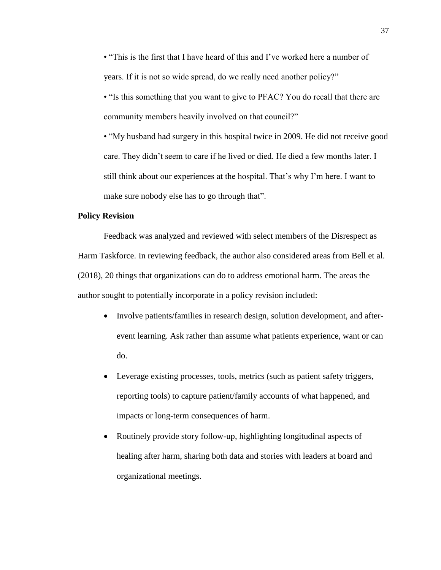• "This is the first that I have heard of this and I've worked here a number of years. If it is not so wide spread, do we really need another policy?"

• "Is this something that you want to give to PFAC? You do recall that there are community members heavily involved on that council?"

• "My husband had surgery in this hospital twice in 2009. He did not receive good care. They didn't seem to care if he lived or died. He died a few months later. I still think about our experiences at the hospital. That's why I'm here. I want to make sure nobody else has to go through that".

# **Policy Revision**

Feedback was analyzed and reviewed with select members of the Disrespect as Harm Taskforce. In reviewing feedback, the author also considered areas from Bell et al. (2018), 20 things that organizations can do to address emotional harm. The areas the author sought to potentially incorporate in a policy revision included:

- Involve patients/families in research design, solution development, and afterevent learning. Ask rather than assume what patients experience, want or can do.
- Leverage existing processes, tools, metrics (such as patient safety triggers, reporting tools) to capture patient/family accounts of what happened, and impacts or long-term consequences of harm.
- Routinely provide story follow-up, highlighting longitudinal aspects of healing after harm, sharing both data and stories with leaders at board and organizational meetings.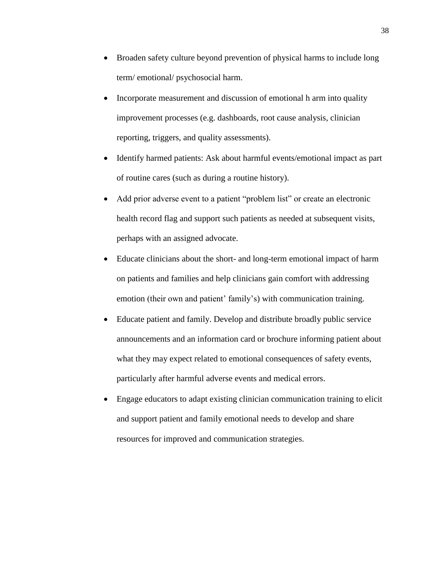- Broaden safety culture beyond prevention of physical harms to include long term/ emotional/ psychosocial harm.
- Incorporate measurement and discussion of emotional h arm into quality improvement processes (e.g. dashboards, root cause analysis, clinician reporting, triggers, and quality assessments).
- Identify harmed patients: Ask about harmful events/emotional impact as part of routine cares (such as during a routine history).
- Add prior adverse event to a patient "problem list" or create an electronic health record flag and support such patients as needed at subsequent visits, perhaps with an assigned advocate.
- Educate clinicians about the short- and long-term emotional impact of harm on patients and families and help clinicians gain comfort with addressing emotion (their own and patient' family's) with communication training.
- Educate patient and family. Develop and distribute broadly public service announcements and an information card or brochure informing patient about what they may expect related to emotional consequences of safety events, particularly after harmful adverse events and medical errors.
- Engage educators to adapt existing clinician communication training to elicit and support patient and family emotional needs to develop and share resources for improved and communication strategies.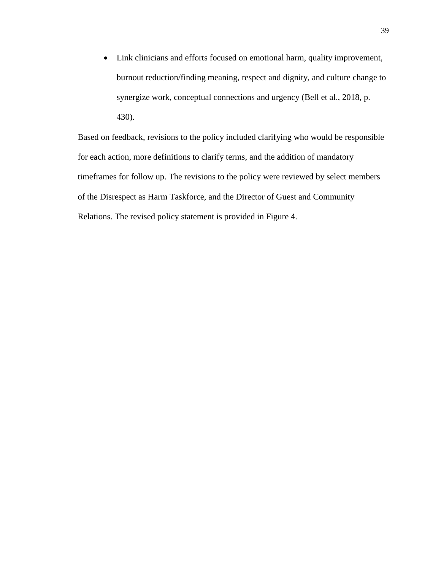• Link clinicians and efforts focused on emotional harm, quality improvement, burnout reduction/finding meaning, respect and dignity, and culture change to synergize work, conceptual connections and urgency (Bell et al., 2018, p. 430).

Based on feedback, revisions to the policy included clarifying who would be responsible for each action, more definitions to clarify terms, and the addition of mandatory timeframes for follow up. The revisions to the policy were reviewed by select members of the Disrespect as Harm Taskforce, and the Director of Guest and Community Relations. The revised policy statement is provided in Figure 4.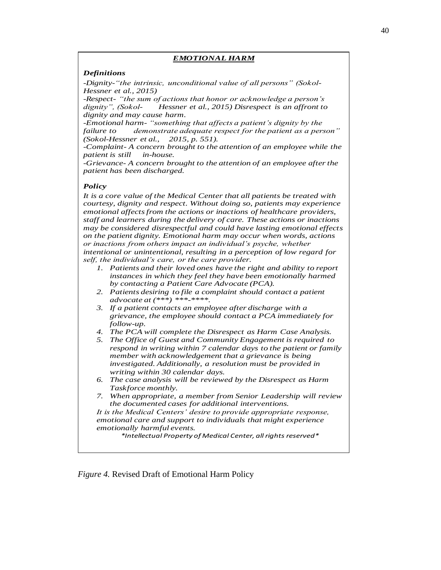#### *EMOTIONAL HARM*

#### *Definitions*

*-Dignity-"the intrinsic, unconditional value of all persons" (Sokol-Hessner et al., 2015)*

*-Respect- "the sum of actions that honor or acknowledge a person's dignity Hessner et al., 2015) Disrespect is an affront to dignity and may cause harm.* 

*-Emotional harm- "something that affects a patient's dignity by the failure to demonstrate adequate respect for the patient as a person" (Sokol-Hessner et al., 2015, p. 551).* 

*-Complaint- A concern brought to the attention of an employee while the patient is still in-house.*

*-Grievance- A concern brought to the attention of an employee after the patient has been discharged.*

#### *Policy*

*It is a core value of the Medical Center that all patients be treated with courtesy, dignity and respect. Without doing so, patients may experience emotional affects from the actions or inactions of healthcare providers, staff and learners during the delivery of care. These actions or inactions may be considered disrespectful and could have lasting emotional effects on the patient dignity. Emotional harm may occur when words, actions or inactions from others impact an individual's psyche, whether intentional or unintentional, resulting in a perception of low regard for self, the individual's care, or the care provider.* 

- *1. Patients and their loved ones have the right and ability to report instances in which they feel they have been emotionally harmed by contacting a Patient Care Advocate (PCA).*
- *2. Patients desiring to file a complaint should contact a patient advocate at (\*\*\*) \*\*\*-\*\*\*\*.*
- *3. If a patient contacts an employee after discharge with a grievance, the employee should contact a PCA immediately for follow-up.*
- *4. The PCA will complete the Disrespect as Harm Case Analysis.*
- *5. The Office of Guest and Community Engagement is required to respond in writing within 7 calendar days to the patient or family member with acknowledgement that a grievance is being investigated. Additionally, a resolution must be provided in writing within 30 calendar days.*
- *6. The case analysis will be reviewed by the Disrespect as Harm Taskforce monthly.*
- *7. When appropriate, a member from Senior Leadership will review the documented cases for additional interventions.*

*It is the Medical Centers' desire to provide appropriate response, emotional care and support to individuals that might experience emotionally harmful events.* 

*\*Intellectual Property of Medical Center, all rights reserved\**

*Figure 4.* Revised Draft of Emotional Harm Policy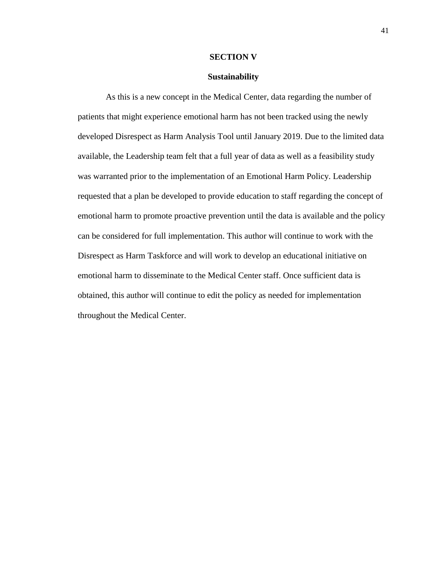#### **SECTION V**

# **Sustainability**

As this is a new concept in the Medical Center, data regarding the number of patients that might experience emotional harm has not been tracked using the newly developed Disrespect as Harm Analysis Tool until January 2019. Due to the limited data available, the Leadership team felt that a full year of data as well as a feasibility study was warranted prior to the implementation of an Emotional Harm Policy. Leadership requested that a plan be developed to provide education to staff regarding the concept of emotional harm to promote proactive prevention until the data is available and the policy can be considered for full implementation. This author will continue to work with the Disrespect as Harm Taskforce and will work to develop an educational initiative on emotional harm to disseminate to the Medical Center staff. Once sufficient data is obtained, this author will continue to edit the policy as needed for implementation throughout the Medical Center.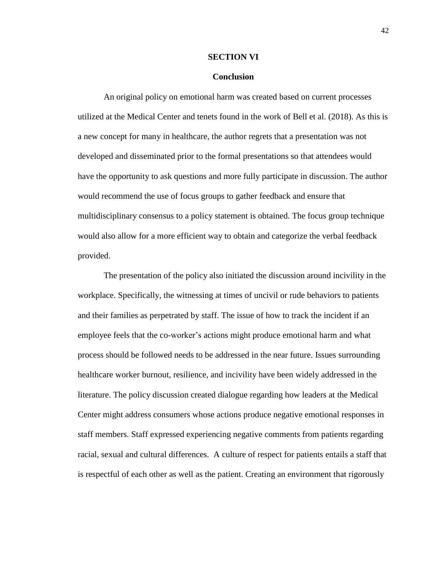#### **SECTION VI**

# **Conclusion**

An original policy on emotional harm was created based on current processes utilized at the Medical Center and tenets found in the work of Bell et al. (2018). As this is a new concept for many in healthcare, the author regrets that a presentation was not developed and disseminated prior to the formal presentations so that attendees would have the opportunity to ask questions and more fully participate in discussion. The author would recommend the use of focus groups to gather feedback and ensure that multidisciplinary consensus to a policy statement is obtained. The focus group technique would also allow for a more efficient way to obtain and categorize the verbal feedback provided.

The presentation of the policy also initiated the discussion around incivility in the workplace. Specifically, the witnessing at times of uncivil or rude behaviors to patients and their families as perpetrated by staff. The issue of how to track the incident if an employee feels that the co-worker's actions might produce emotional harm and what process should be followed needs to be addressed in the near future. Issues surrounding healthcare worker burnout, resilience, and incivility have been widely addressed in the literature. The policy discussion created dialogue regarding how leaders at the Medical Center might address consumers whose actions produce negative emotional responses in staff members. Staff expressed experiencing negative comments from patients regarding racial, sexual and cultural differences. A culture of respect for patients entails a staff that is respectful of each other as well as the patient. Creating an environment that rigorously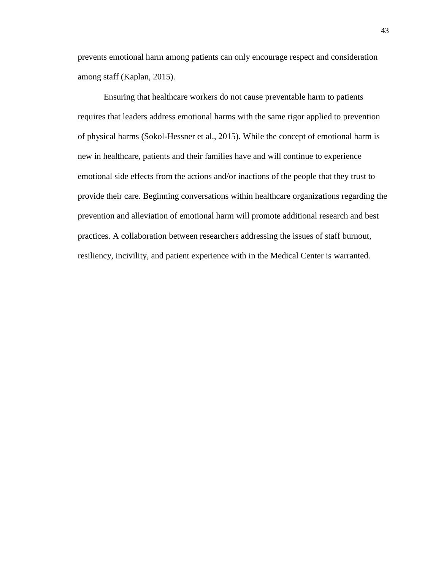prevents emotional harm among patients can only encourage respect and consideration among staff (Kaplan, 2015).

Ensuring that healthcare workers do not cause preventable harm to patients requires that leaders address emotional harms with the same rigor applied to prevention of physical harms (Sokol-Hessner et al., 2015). While the concept of emotional harm is new in healthcare, patients and their families have and will continue to experience emotional side effects from the actions and/or inactions of the people that they trust to provide their care. Beginning conversations within healthcare organizations regarding the prevention and alleviation of emotional harm will promote additional research and best practices. A collaboration between researchers addressing the issues of staff burnout, resiliency, incivility, and patient experience with in the Medical Center is warranted.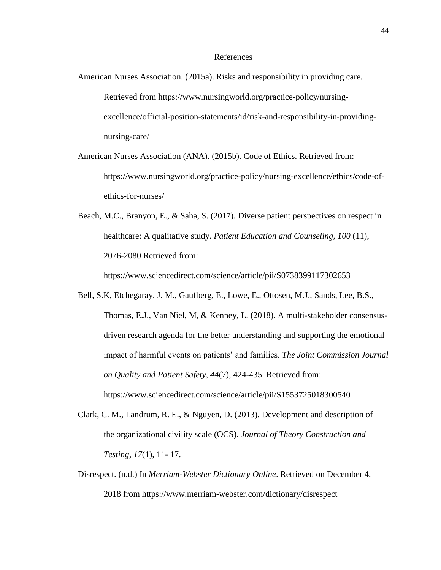### References

- American Nurses Association. (2015a). Risks and responsibility in providing care. Retrieved from [https://www.nursingworld.org/practice-policy/nursing](https://www.nursingworld.org/practice-policy/nursing-excellence/official-position-statements/id/risk-and-responsibility-in-providing-nursing-care/)[excellence/official-position-statements/id/risk-and-responsibility-in-providing](https://www.nursingworld.org/practice-policy/nursing-excellence/official-position-statements/id/risk-and-responsibility-in-providing-nursing-care/)[nursing-care/](https://www.nursingworld.org/practice-policy/nursing-excellence/official-position-statements/id/risk-and-responsibility-in-providing-nursing-care/)
- American Nurses Association (ANA). (2015b). Code of Ethics. Retrieved from: [https://www.nursingworld.org/practice-policy/nursing-excellence/ethics/code-of](https://www.nursingworld.org/practice-policy/nursing-excellence/ethics/code-of-ethics-for-nurses/)[ethics-for-nurses/](https://www.nursingworld.org/practice-policy/nursing-excellence/ethics/code-of-ethics-for-nurses/)
- Beach, M.C., Branyon, E., & Saha, S. (2017). Diverse patient perspectives on respect in healthcare: A qualitative study. *Patient Education and Counseling, 100* (11), 2076-2080 Retrieved from:

<https://www.sciencedirect.com/science/article/pii/S0738399117302653>

- Bell, S.K, Etchegaray, J. M., Gaufberg, E., Lowe, E., Ottosen, M.J., Sands, Lee, B.S., Thomas, E.J., Van Niel, M, & Kenney, L. (2018). A multi-stakeholder consensusdriven research agenda for the better understanding and supporting the emotional impact of harmful events on patients' and families. *The Joint Commission Journal on Quality and Patient Safety, 44*(7), 424-435. Retrieved from: <https://www.sciencedirect.com/science/article/pii/S1553725018300540>
- Clark, C. M., Landrum, R. E., & Nguyen, D. (2013). Development and description of the organizational civility scale (OCS). *Journal of Theory Construction and Testing, 17*(1), 11- 17.
- Disrespect. (n.d.) In *Merriam-Webster Dictionary Online*. Retrieved on December 4, 2018 from <https://www.merriam-webster.com/dictionary/disrespect>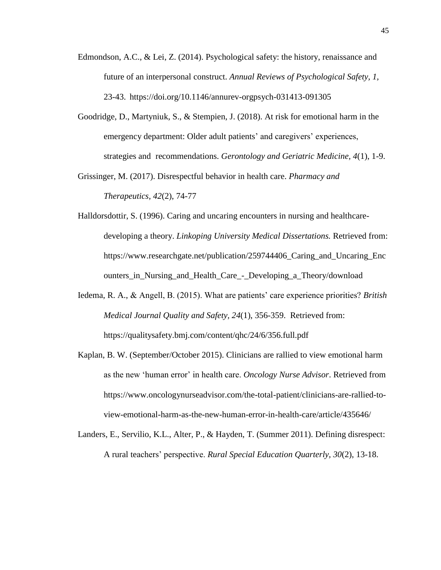- Edmondson, A.C., & Lei, Z. (2014). Psychological safety: the history, renaissance and future of an interpersonal construct. *Annual Reviews of Psychological Safety, 1,* 23-43. <https://doi.org/10.1146/annurev-orgpsych-031413-091305>
- Goodridge, D., Martyniuk, S., & Stempien, J. (2018). At risk for emotional harm in the emergency department: Older adult patients' and caregivers' experiences, strategies and recommendations. *Gerontology and Geriatric Medicine, 4*(1), 1-9.
- Grissinger, M. (2017). Disrespectful behavior in health care. *Pharmacy and Therapeutics, 42*(2), 74-77
- Halldorsdottir, S. (1996). Caring and uncaring encounters in nursing and healthcaredeveloping a theory. *Linkoping University Medical Dissertations.* Retrieved from: [https://www.researchgate.net/publication/259744406\\_Caring\\_and\\_Uncaring\\_Enc](https://www.researchgate.net/publication/259744406_Caring_and_Uncaring_Encounters_in_Nursing_and_Health_Care_-_Developing_a_Theory/download) [ounters\\_in\\_Nursing\\_and\\_Health\\_Care\\_-\\_Developing\\_a\\_Theory/download](https://www.researchgate.net/publication/259744406_Caring_and_Uncaring_Encounters_in_Nursing_and_Health_Care_-_Developing_a_Theory/download)
- Iedema, R. A., & Angell, B. (2015). What are patients' care experience priorities? *British Medical Journal Quality and Safety, 24*(1), 356-359. Retrieved from: <https://qualitysafety.bmj.com/content/qhc/24/6/356.full.pdf>
- Kaplan, B. W. (September/October 2015). Clinicians are rallied to view emotional harm as the new 'human error' in health care. *Oncology Nurse Advisor*. Retrieved from [https://www.oncologynurseadvisor.com/the-total-patient/clinicians-are-rallied-to](https://www.oncologynurseadvisor.com/the-total-patient/clinicians-are-rallied-to-%09view-emotional-harm-as-the-new-human-error-in-health-care/article/435646/)[view-emotional-harm-as-the-new-human-error-in-health-care/article/435646/](https://www.oncologynurseadvisor.com/the-total-patient/clinicians-are-rallied-to-%09view-emotional-harm-as-the-new-human-error-in-health-care/article/435646/)
- Landers, E., Servilio, K.L., Alter, P., & Hayden, T. (Summer 2011). Defining disrespect: A rural teachers' perspective. *Rural Special Education Quarterly, 30*(2), 13-18.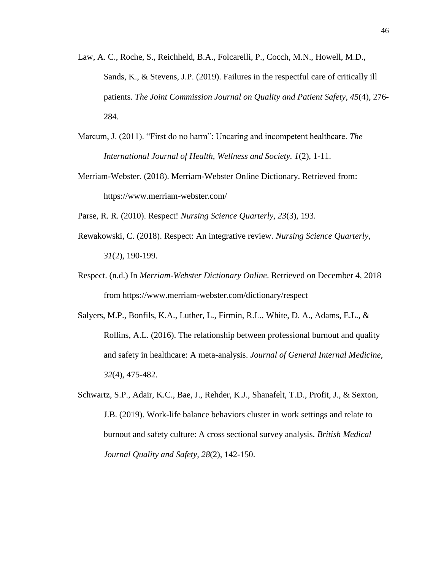- Law, A. C., Roche, S., Reichheld, B.A., Folcarelli, P., Cocch, M.N., Howell, M.D., Sands, K., & Stevens, J.P. (2019). Failures in the respectful care of critically ill patients. *The Joint Commission Journal on Quality and Patient Safety, 45*(4), 276- 284.
- Marcum, J. (2011). "First do no harm": Uncaring and incompetent healthcare. *The International Journal of Health, Wellness and Society. 1*(2), 1-11.
- Merriam-Webster. (2018). Merriam-Webster Online Dictionary. Retrieved from: <https://www.merriam-webster.com/>
- Parse, R. R. (2010). Respect! *Nursing Science Quarterly, 23*(3), 193.
- Rewakowski, C. (2018). Respect: An integrative review. *Nursing Science Quarterly, 31*(2), 190-199.
- Respect. (n.d.) In *Merriam-Webster Dictionary Online*. Retrieved on December 4, 2018 from<https://www.merriam-webster.com/dictionary/respect>
- Salyers, M.P., Bonfils, K.A., Luther, L., Firmin, R.L., White, D. A., Adams, E.L., & Rollins, A.L. (2016). The relationship between professional burnout and quality and safety in healthcare: A meta-analysis. *Journal of General Internal Medicine, 32*(4), 475-482.
- Schwartz, S.P., Adair, K.C., Bae, J., Rehder, K.J., Shanafelt, T.D., Profit, J., & Sexton, J.B. (2019). Work-life balance behaviors cluster in work settings and relate to burnout and safety culture: A cross sectional survey analysis. *British Medical Journal Quality and Safety, 28*(2), 142-150.